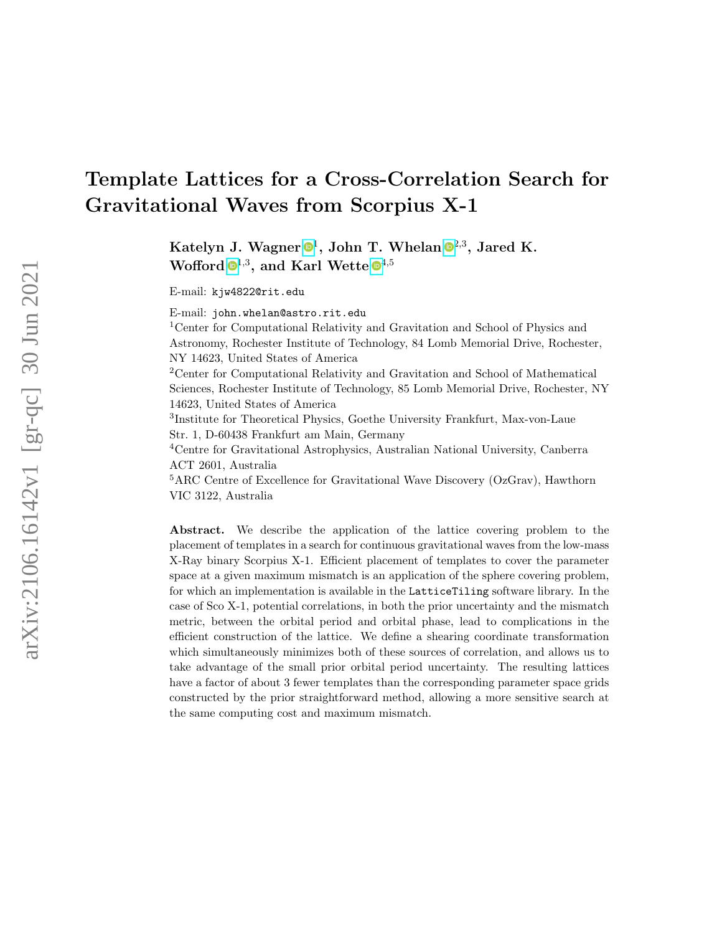# Template Lattices for a Cross-Correlation Search for Gravitational Waves from Scorpius X-1

Katelyn J. Wagner  $\mathbb{O}^1$  $\mathbb{O}^1$ , John T. Whelan  $\mathbb{O}^{2,3}$  $\mathbb{O}^{2,3}$  $\mathbb{O}^{2,3}$ , Jared K. Wofford  $\mathbf{\Theta}^{1,3},$  $\mathbf{\Theta}^{1,3},$  $\mathbf{\Theta}^{1,3},$  and Karl Wette  $\mathbf{\Theta}^{4,5}$  $\mathbf{\Theta}^{4,5}$  $\mathbf{\Theta}^{4,5}$ 

E-mail: kjw4822@rit.edu

E-mail: john.whelan@astro.rit.edu

<sup>1</sup>Center for Computational Relativity and Gravitation and School of Physics and Astronomy, Rochester Institute of Technology, 84 Lomb Memorial Drive, Rochester, NY 14623, United States of America

<sup>2</sup>Center for Computational Relativity and Gravitation and School of Mathematical Sciences, Rochester Institute of Technology, 85 Lomb Memorial Drive, Rochester, NY 14623, United States of America

3 Institute for Theoretical Physics, Goethe University Frankfurt, Max-von-Laue Str. 1, D-60438 Frankfurt am Main, Germany

<sup>4</sup>Centre for Gravitational Astrophysics, Australian National University, Canberra ACT 2601, Australia

<sup>5</sup>ARC Centre of Excellence for Gravitational Wave Discovery (OzGrav), Hawthorn VIC 3122, Australia

Abstract. We describe the application of the lattice covering problem to the placement of templates in a search for continuous gravitational waves from the low-mass X-Ray binary Scorpius X-1. Efficient placement of templates to cover the parameter space at a given maximum mismatch is an application of the sphere covering problem, for which an implementation is available in the LatticeTiling software library. In the case of Sco X-1, potential correlations, in both the prior uncertainty and the mismatch metric, between the orbital period and orbital phase, lead to complications in the efficient construction of the lattice. We define a shearing coordinate transformation which simultaneously minimizes both of these sources of correlation, and allows us to take advantage of the small prior orbital period uncertainty. The resulting lattices have a factor of about 3 fewer templates than the corresponding parameter space grids constructed by the prior straightforward method, allowing a more sensitive search at the same computing cost and maximum mismatch.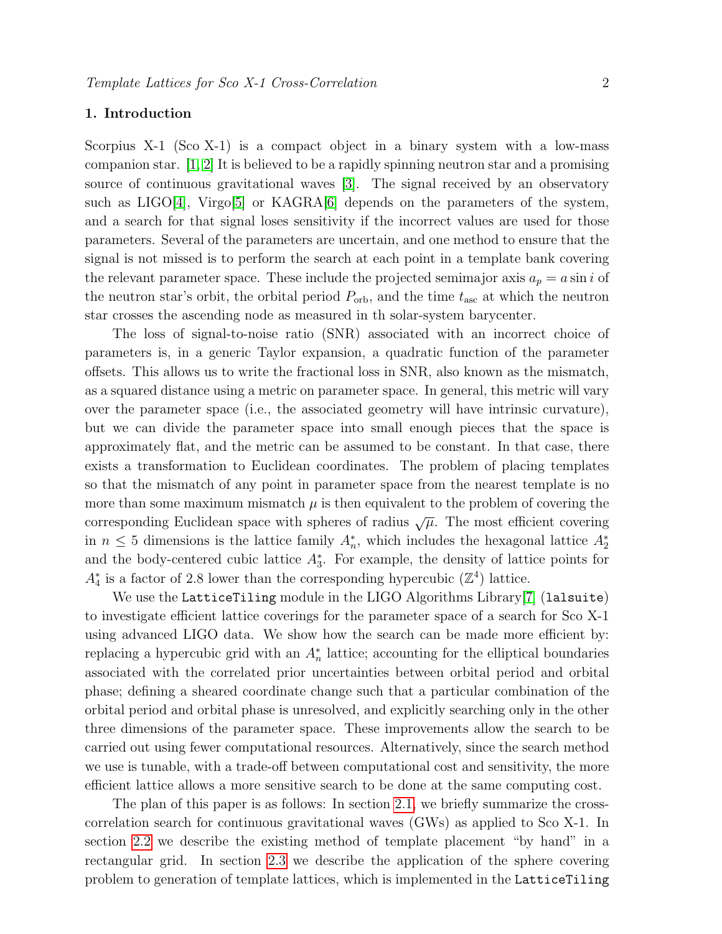# 1. Introduction

Scorpius X-1 (Sco X-1) is a compact object in a binary system with a low-mass companion star. [\[1,](#page-17-0) [2\]](#page-17-1) It is believed to be a rapidly spinning neutron star and a promising source of continuous gravitational waves [\[3\]](#page-17-2). The signal received by an observatory such as LIGO[\[4\]](#page-17-3), Virgo[\[5\]](#page-17-4) or KAGRA[\[6\]](#page-17-5) depends on the parameters of the system, and a search for that signal loses sensitivity if the incorrect values are used for those parameters. Several of the parameters are uncertain, and one method to ensure that the signal is not missed is to perform the search at each point in a template bank covering the relevant parameter space. These include the projected semimajor axis  $a_p = a \sin i$  of the neutron star's orbit, the orbital period  $P_{\text{orb}}$ , and the time  $t_{\text{asc}}$  at which the neutron star crosses the ascending node as measured in th solar-system barycenter.

The loss of signal-to-noise ratio (SNR) associated with an incorrect choice of parameters is, in a generic Taylor expansion, a quadratic function of the parameter offsets. This allows us to write the fractional loss in SNR, also known as the mismatch, as a squared distance using a metric on parameter space. In general, this metric will vary over the parameter space (i.e., the associated geometry will have intrinsic curvature), but we can divide the parameter space into small enough pieces that the space is approximately flat, and the metric can be assumed to be constant. In that case, there exists a transformation to Euclidean coordinates. The problem of placing templates so that the mismatch of any point in parameter space from the nearest template is no more than some maximum mismatch  $\mu$  is then equivalent to the problem of covering the corresponding Euclidean space with spheres of radius  $\sqrt{\mu}$ . The most efficient covering in  $n \leq 5$  dimensions is the lattice family  $A_n^*$ , which includes the hexagonal lattice  $A_2^*$ and the body-centered cubic lattice  $A_3^*$ . For example, the density of lattice points for  $A_4^*$  is a factor of 2.8 lower than the corresponding hypercubic  $(\mathbb{Z}^4)$  lattice.

We use the LatticeTiling module in the LIGO Algorithms Library<sup>[\[7\]](#page-17-6)</sup> (lalsuite) to investigate efficient lattice coverings for the parameter space of a search for Sco X-1 using advanced LIGO data. We show how the search can be made more efficient by: replacing a hypercubic grid with an  $A_n^*$  lattice; accounting for the elliptical boundaries associated with the correlated prior uncertainties between orbital period and orbital phase; defining a sheared coordinate change such that a particular combination of the orbital period and orbital phase is unresolved, and explicitly searching only in the other three dimensions of the parameter space. These improvements allow the search to be carried out using fewer computational resources. Alternatively, since the search method we use is tunable, with a trade-off between computational cost and sensitivity, the more efficient lattice allows a more sensitive search to be done at the same computing cost.

The plan of this paper is as follows: In section [2.1,](#page-2-0) we briefly summarize the crosscorrelation search for continuous gravitational waves (GWs) as applied to Sco X-1. In section [2.2](#page-3-0) we describe the existing method of template placement "by hand" in a rectangular grid. In section [2.3](#page-4-0) we describe the application of the sphere covering problem to generation of template lattices, which is implemented in the LatticeTiling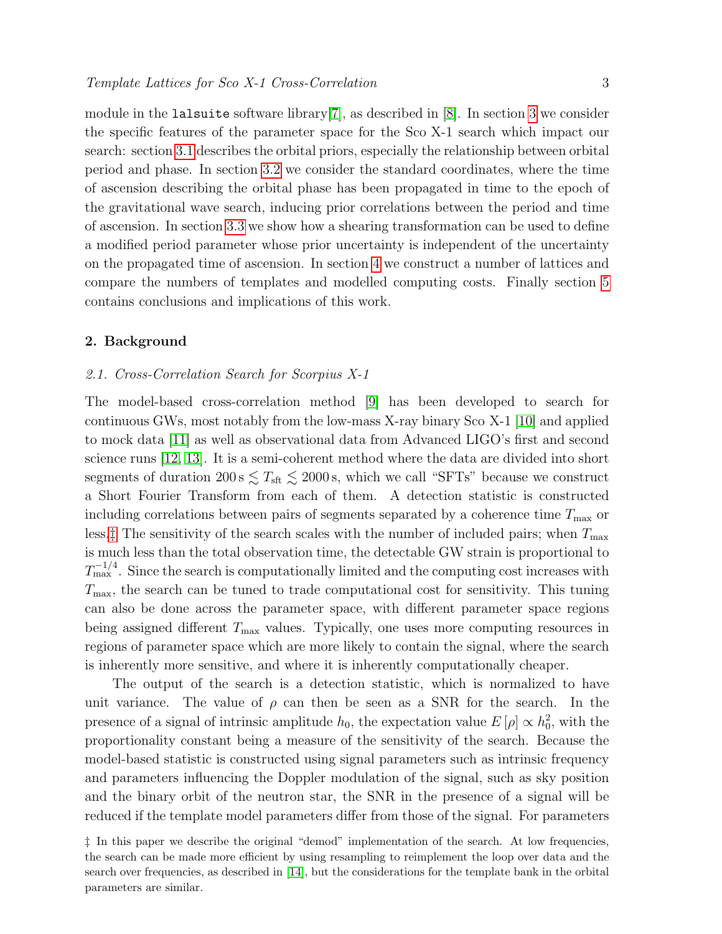module in the lalsuite software library[\[7\]](#page-17-6), as described in [\[8\]](#page-18-0). In section [3](#page-5-0) we consider the specific features of the parameter space for the Sco X-1 search which impact our search: section [3.1](#page-5-1) describes the orbital priors, especially the relationship between orbital period and phase. In section [3.2](#page-6-0) we consider the standard coordinates, where the time of ascension describing the orbital phase has been propagated in time to the epoch of the gravitational wave search, inducing prior correlations between the period and time of ascension. In section [3.3](#page-10-0) we show how a shearing transformation can be used to define a modified period parameter whose prior uncertainty is independent of the uncertainty on the propagated time of ascension. In section [4](#page-12-0) we construct a number of lattices and compare the numbers of templates and modelled computing costs. Finally section [5](#page-17-7) contains conclusions and implications of this work.

#### 2. Background

# <span id="page-2-0"></span>2.1. Cross-Correlation Search for Scorpius X-1

The model-based cross-correlation method [\[9\]](#page-18-1) has been developed to search for continuous GWs, most notably from the low-mass X-ray binary Sco X-1 [\[10\]](#page-18-2) and applied to mock data [\[11\]](#page-18-3) as well as observational data from Advanced LIGO's first and second science runs [\[12,](#page-18-4) [13\]](#page-18-5). It is a semi-coherent method where the data are divided into short segments of duration  $200 \text{ s} \lesssim T_{\text{sf}} \lesssim 2000 \text{ s}$ , which we call "SFTs" because we construct a Short Fourier Transform from each of them. A detection statistic is constructed including correlations between pairs of segments separated by a coherence time  $T_{\text{max}}$  or less.<sup>†</sup> The sensitivity of the search scales with the number of included pairs; when  $T_{\text{max}}$ is much less than the total observation time, the detectable GW strain is proportional to  $T_{\text{max}}^{-1/4}$ . Since the search is computationally limited and the computing cost increases with  $T_{\text{max}}$ , the search can be tuned to trade computational cost for sensitivity. This tuning can also be done across the parameter space, with different parameter space regions being assigned different  $T_{\text{max}}$  values. Typically, one uses more computing resources in regions of parameter space which are more likely to contain the signal, where the search is inherently more sensitive, and where it is inherently computationally cheaper.

The output of the search is a detection statistic, which is normalized to have unit variance. The value of  $\rho$  can then be seen as a SNR for the search. In the presence of a signal of intrinsic amplitude  $h_0$ , the expectation value  $E[\rho] \propto h_0^2$ , with the proportionality constant being a measure of the sensitivity of the search. Because the model-based statistic is constructed using signal parameters such as intrinsic frequency and parameters influencing the Doppler modulation of the signal, such as sky position and the binary orbit of the neutron star, the SNR in the presence of a signal will be reduced if the template model parameters differ from those of the signal. For parameters

<span id="page-2-1"></span><sup>‡</sup> In this paper we describe the original "demod" implementation of the search. At low frequencies, the search can be made more efficient by using resampling to reimplement the loop over data and the search over frequencies, as described in [\[14\]](#page-18-6), but the considerations for the template bank in the orbital parameters are similar.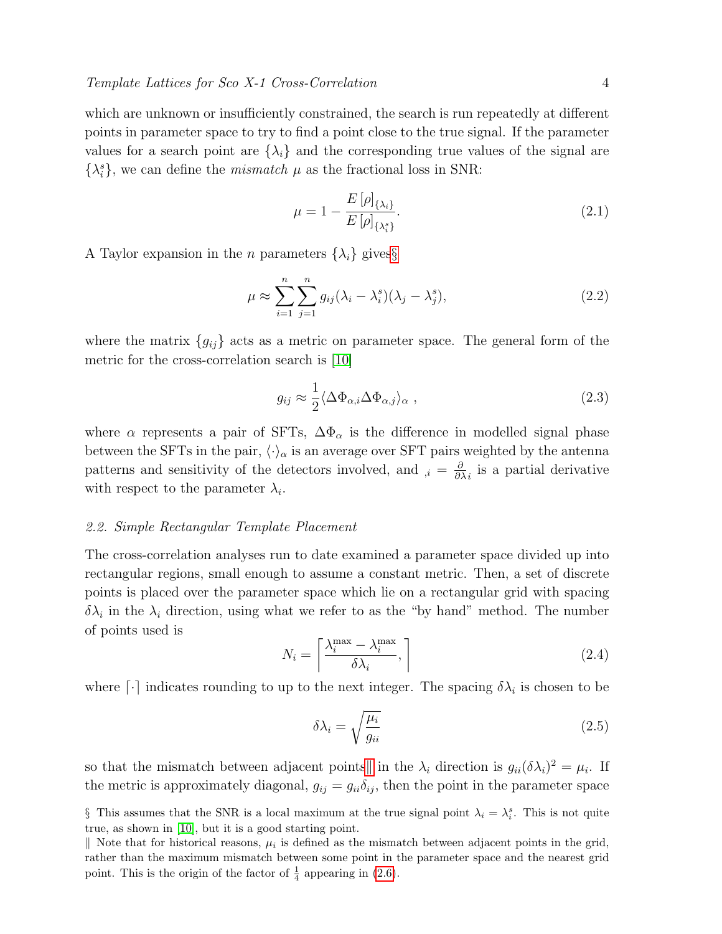which are unknown or insufficiently constrained, the search is run repeatedly at different points in parameter space to try to find a point close to the true signal. If the parameter values for a search point are  $\{\lambda_i\}$  and the corresponding true values of the signal are  $\{\lambda_i^s\}$ , we can define the *mismatch*  $\mu$  as the fractional loss in SNR:

$$
\mu = 1 - \frac{E[\rho]_{\{\lambda_i\}}}{E[\rho]_{\{\lambda_i^s\}}}.\tag{2.1}
$$

A Taylor expansion in the *n* parameters  $\{\lambda_i\}$  gives

$$
\mu \approx \sum_{i=1}^{n} \sum_{j=1}^{n} g_{ij} (\lambda_i - \lambda_i^s)(\lambda_j - \lambda_j^s), \qquad (2.2)
$$

where the matrix  ${g_{ij}}$  acts as a metric on parameter space. The general form of the metric for the cross-correlation search is [\[10\]](#page-18-2)

<span id="page-3-3"></span>
$$
g_{ij} \approx \frac{1}{2} \langle \Delta \Phi_{\alpha,i} \Delta \Phi_{\alpha,j} \rangle_{\alpha} , \qquad (2.3)
$$

where  $\alpha$  represents a pair of SFTs,  $\Delta \Phi_{\alpha}$  is the difference in modelled signal phase between the SFTs in the pair,  $\langle \cdot \rangle_{\alpha}$  is an average over SFT pairs weighted by the antenna patterns and sensitivity of the detectors involved, and  $\mu = \frac{\partial}{\partial \lambda}$  $\frac{\partial}{\partial \lambda_i}$  is a partial derivative with respect to the parameter  $\lambda_i$ .

# <span id="page-3-0"></span>2.2. Simple Rectangular Template Placement

The cross-correlation analyses run to date examined a parameter space divided up into rectangular regions, small enough to assume a constant metric. Then, a set of discrete points is placed over the parameter space which lie on a rectangular grid with spacing  $\delta \lambda_i$  in the  $\lambda_i$  direction, using what we refer to as the "by hand" method. The number of points used is

$$
N_i = \left\lceil \frac{\lambda_i^{\max} - \lambda_i^{\max}}{\delta \lambda_i}, \right\rceil \tag{2.4}
$$

where  $\lceil \cdot \rceil$  indicates rounding to up to the next integer. The spacing  $\delta \lambda_i$  is chosen to be

$$
\delta \lambda_i = \sqrt{\frac{\mu_i}{g_{ii}}} \tag{2.5}
$$

so that the mismatch between adjacent points in the  $\lambda_i$  direction is  $g_{ii}(\delta \lambda_i)^2 = \mu_i$ . If the metric is approximately diagonal,  $g_{ij} = g_{ii} \delta_{ij}$ , then the point in the parameter space

<span id="page-3-1"></span><sup>§</sup> This assumes that the SNR is a local maximum at the true signal point  $\lambda_i = \lambda_i^s$ . This is not quite true, as shown in [\[10\]](#page-18-2), but it is a good starting point.

<span id="page-3-2"></span><sup>||</sup> Note that for historical reasons,  $\mu_i$  is defined as the mismatch between adjacent points in the grid, rather than the maximum mismatch between some point in the parameter space and the nearest grid point. This is the origin of the factor of  $\frac{1}{4}$  appearing in [\(2.6\)](#page-4-1).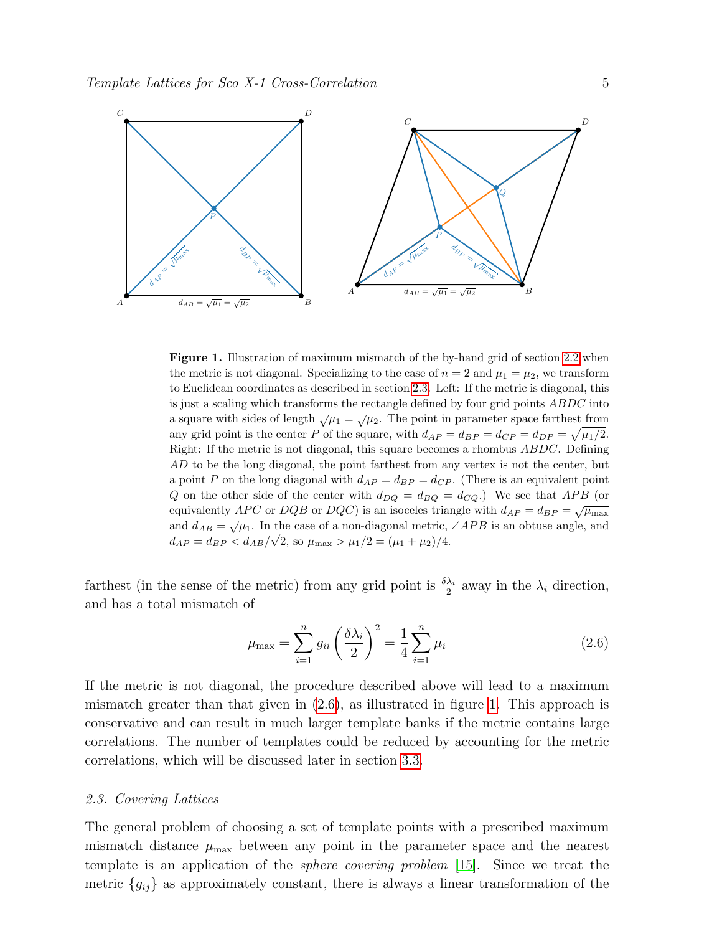

<span id="page-4-2"></span>Figure 1. Illustration of maximum mismatch of the by-hand grid of section [2.2](#page-3-0) when the metric is not diagonal. Specializing to the case of  $n = 2$  and  $\mu_1 = \mu_2$ , we transform to Euclidean coordinates as described in section [2.3.](#page-4-0) Left: If the metric is diagonal, this is just a scaling which transforms the rectangle defined by four grid points ABDC into a square with sides of length  $\sqrt{\mu_1} = \sqrt{\mu_2}$ . The point in parameter space farthest from any grid point is the center P of the square, with  $d_{AP} = d_{BP} = d_{CP} = d_{DP} = \sqrt{\mu_1/2}$ . Right: If the metric is not diagonal, this square becomes a rhombus ABDC. Defining AD to be the long diagonal, the point farthest from any vertex is not the center, but a point P on the long diagonal with  $d_{AP} = d_{BP} = d_{CP}$ . (There is an equivalent point Q on the other side of the center with  $d_{DQ} = d_{BQ} = d_{CQ}$ .) We see that APB (or equivalently *APC* or *DQB* or *DQC*) is an isoceles triangle with  $d_{AP} = d_{BP} = \sqrt{\mu_{\text{max}}}$ and  $d_{AB} = \sqrt{\mu_1}$ . In the case of a non-diagonal metric,  $\angle APB$  is an obtuse angle, and  $d_{AP} = d_{BP} < d_{AB}/\sqrt{2}$ , so  $\mu_{\text{max}} > \mu_1/2 = (\mu_1 + \mu_2)/4$ .

farthest (in the sense of the metric) from any grid point is  $\frac{\delta \lambda_i}{2}$  away in the  $\lambda_i$  direction, and has a total mismatch of

<span id="page-4-1"></span>
$$
\mu_{\max} = \sum_{i=1}^{n} g_{ii} \left(\frac{\delta \lambda_i}{2}\right)^2 = \frac{1}{4} \sum_{i=1}^{n} \mu_i
$$
\n(2.6)

If the metric is not diagonal, the procedure described above will lead to a maximum mismatch greater than that given in  $(2.6)$ , as illustrated in figure [1.](#page-4-2) This approach is conservative and can result in much larger template banks if the metric contains large correlations. The number of templates could be reduced by accounting for the metric correlations, which will be discussed later in section [3.3.](#page-10-0)

#### <span id="page-4-0"></span>2.3. Covering Lattices

The general problem of choosing a set of template points with a prescribed maximum mismatch distance  $\mu_{\text{max}}$  between any point in the parameter space and the nearest template is an application of the sphere covering problem [\[15\]](#page-18-7). Since we treat the metric  ${g_{ij}}$  as approximately constant, there is always a linear transformation of the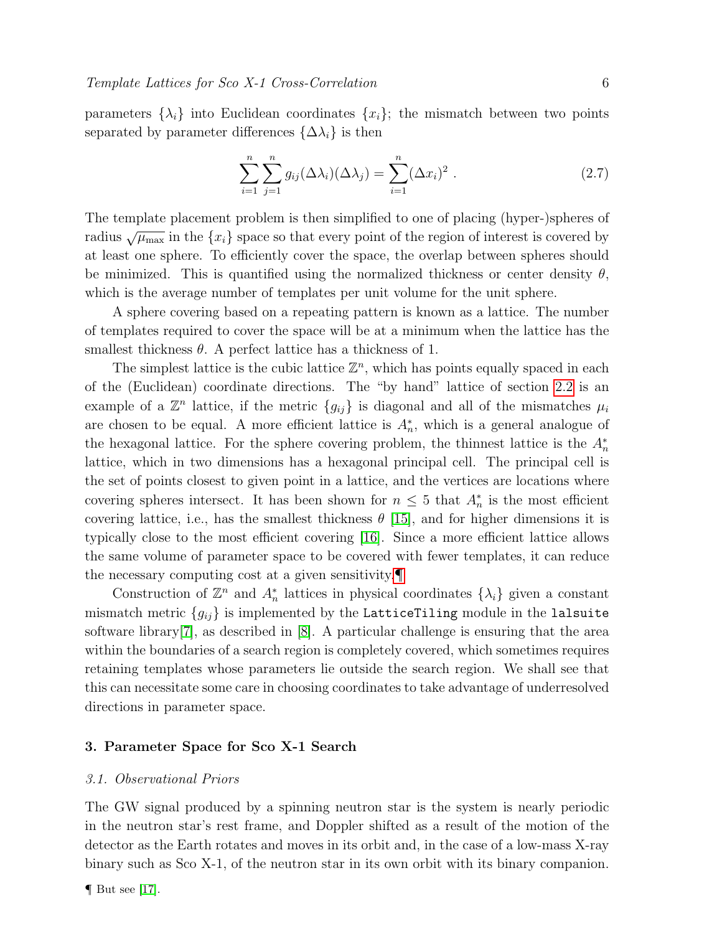parameters  $\{\lambda_i\}$  into Euclidean coordinates  $\{x_i\}$ ; the mismatch between two points separated by parameter differences  $\{\Delta \lambda_i\}$  is then

$$
\sum_{i=1}^{n} \sum_{j=1}^{n} g_{ij}(\Delta \lambda_i) (\Delta \lambda_j) = \sum_{i=1}^{n} (\Delta x_i)^2 . \qquad (2.7)
$$

The template placement problem is then simplified to one of placing (hyper-)spheres of radius  $\sqrt{\mu_{\text{max}}}$  in the  $\{x_i\}$  space so that every point of the region of interest is covered by at least one sphere. To efficiently cover the space, the overlap between spheres should be minimized. This is quantified using the normalized thickness or center density  $\theta$ , which is the average number of templates per unit volume for the unit sphere.

A sphere covering based on a repeating pattern is known as a lattice. The number of templates required to cover the space will be at a minimum when the lattice has the smallest thickness  $\theta$ . A perfect lattice has a thickness of 1.

The simplest lattice is the cubic lattice  $\mathbb{Z}^n$ , which has points equally spaced in each of the (Euclidean) coordinate directions. The "by hand" lattice of section [2.2](#page-3-0) is an example of a  $\mathbb{Z}^n$  lattice, if the metric  $\{g_{ij}\}\$ is diagonal and all of the mismatches  $\mu_i$ are chosen to be equal. A more efficient lattice is  $A_n^*$ , which is a general analogue of the hexagonal lattice. For the sphere covering problem, the thinnest lattice is the  $A_n^*$ lattice, which in two dimensions has a hexagonal principal cell. The principal cell is the set of points closest to given point in a lattice, and the vertices are locations where covering spheres intersect. It has been shown for  $n \leq 5$  that  $A_n^*$  is the most efficient covering lattice, i.e., has the smallest thickness  $\theta$  [\[15\]](#page-18-7), and for higher dimensions it is typically close to the most efficient covering [\[16\]](#page-18-8). Since a more efficient lattice allows the same volume of parameter space to be covered with fewer templates, it can reduce the necessary computing cost at a given sensitivity.[¶](#page-5-2)

Construction of  $\mathbb{Z}^n$  and  $A_n^*$  lattices in physical coordinates  $\{\lambda_i\}$  given a constant mismatch metric  ${g_{ij}}$  is implemented by the LatticeTiling module in the lalsuite software library<sup>[\[7\]](#page-17-6)</sup>, as described in  $|8|$ . A particular challenge is ensuring that the area within the boundaries of a search region is completely covered, which sometimes requires retaining templates whose parameters lie outside the search region. We shall see that this can necessitate some care in choosing coordinates to take advantage of underresolved directions in parameter space.

# <span id="page-5-0"></span>3. Parameter Space for Sco X-1 Search

# <span id="page-5-1"></span>3.1. Observational Priors

<span id="page-5-2"></span>The GW signal produced by a spinning neutron star is the system is nearly periodic in the neutron star's rest frame, and Doppler shifted as a result of the motion of the detector as the Earth rotates and moves in its orbit and, in the case of a low-mass X-ray binary such as Sco X-1, of the neutron star in its own orbit with its binary companion.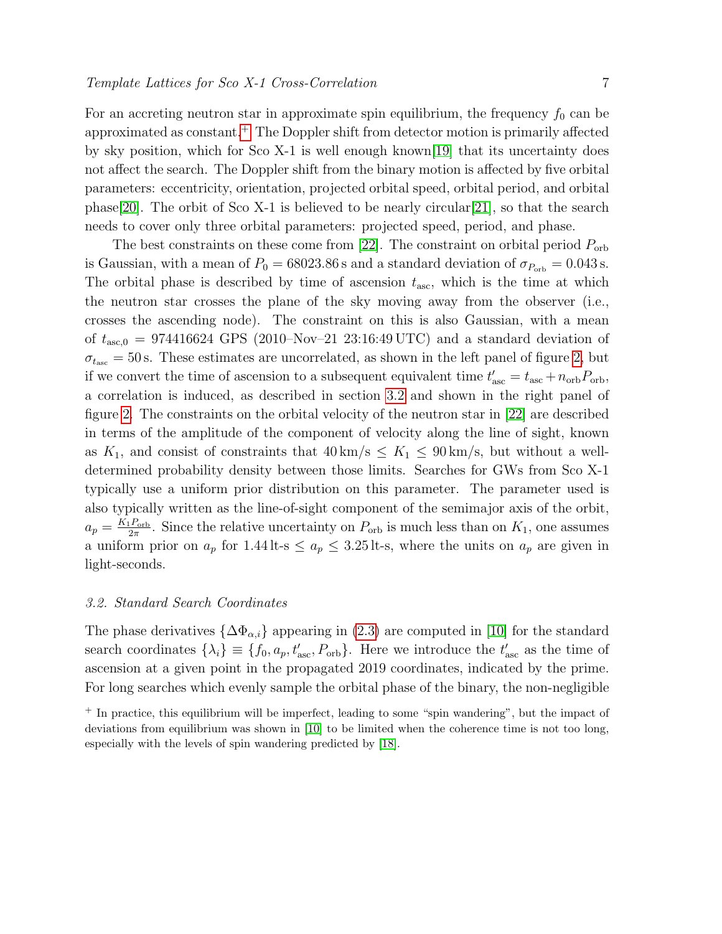For an accreting neutron star in approximate spin equilibrium, the frequency  $f_0$  can be approximated as constant.[+](#page-6-1) The Doppler shift from detector motion is primarily affected by sky position, which for Sco X-1 is well enough known[\[19\]](#page-18-10) that its uncertainty does not affect the search. The Doppler shift from the binary motion is affected by five orbital parameters: eccentricity, orientation, projected orbital speed, orbital period, and orbital phase[\[20\]](#page-18-11). The orbit of Sco X-1 is believed to be nearly circular[\[21\]](#page-18-12), so that the search needs to cover only three orbital parameters: projected speed, period, and phase.

The best constraints on these come from [\[22\]](#page-18-13). The constraint on orbital period  $P_{\rm orb}$ is Gaussian, with a mean of  $P_0 = 68023.86$  s and a standard deviation of  $\sigma_{P_{\rm orb}} = 0.043$  s. The orbital phase is described by time of ascension  $t_{\text{asc}}$ , which is the time at which the neutron star crosses the plane of the sky moving away from the observer (i.e., crosses the ascending node). The constraint on this is also Gaussian, with a mean of  $t_{\text{asc},0} = 974416624 \text{ GPS}$  (2010–Nov–21 23:16:49 UTC) and a standard deviation of  $\sigma_{t_{\rm asc}} = 50 \,\mathrm{s}$ . These estimates are uncorrelated, as shown in the left panel of figure [2,](#page-7-0) but if we convert the time of ascension to a subsequent equivalent time  $t'_{\text{asc}} = t_{\text{asc}} + n_{\text{orb}}P_{\text{orb}}$ , a correlation is induced, as described in section [3.2](#page-6-0) and shown in the right panel of figure [2.](#page-7-0) The constraints on the orbital velocity of the neutron star in [\[22\]](#page-18-13) are described in terms of the amplitude of the component of velocity along the line of sight, known as  $K_1$ , and consist of constraints that  $40 \,\mathrm{km/s} \leq K_1 \leq 90 \,\mathrm{km/s}$ , but without a welldetermined probability density between those limits. Searches for GWs from Sco X-1 typically use a uniform prior distribution on this parameter. The parameter used is also typically written as the line-of-sight component of the semimajor axis of the orbit,  $a_p = \frac{K_1 P_{\rm orb}}{2\pi}$  $\frac{P_{\text{orb}}}{2\pi}$ . Since the relative uncertainty on  $P_{\text{orb}}$  is much less than on  $K_1$ , one assumes a uniform prior on  $a_p$  for 1.44 lt-s  $\le a_p \le 3.25$  lt-s, where the units on  $a_p$  are given in light-seconds.

#### <span id="page-6-0"></span>3.2. Standard Search Coordinates

The phase derivatives  $\{\Delta \Phi_{\alpha,i}\}\$ appearing in [\(2.3\)](#page-3-3) are computed in [\[10\]](#page-18-2) for the standard search coordinates  $\{\lambda_i\} \equiv \{f_0, a_p, t'_{\rm asc}, P_{\rm orb}\}.$  Here we introduce the  $t'_{\rm asc}$  as the time of ascension at a given point in the propagated 2019 coordinates, indicated by the prime. For long searches which evenly sample the orbital phase of the binary, the non-negligible

<span id="page-6-1"></span><sup>+</sup> In practice, this equilibrium will be imperfect, leading to some "spin wandering", but the impact of deviations from equilibrium was shown in [\[10\]](#page-18-2) to be limited when the coherence time is not too long, especially with the levels of spin wandering predicted by [\[18\]](#page-18-14).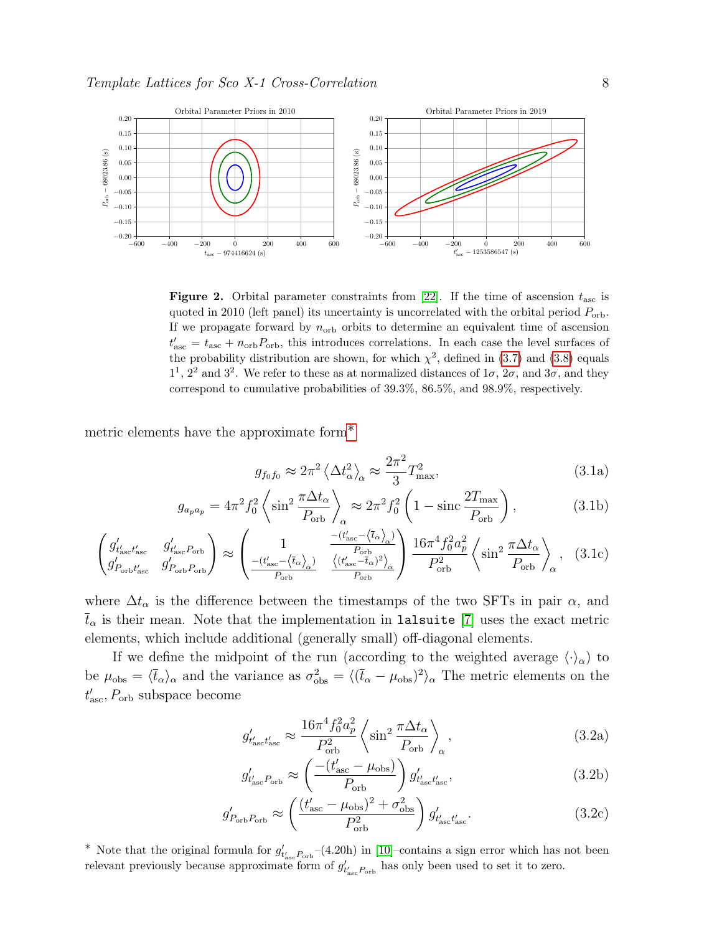

<span id="page-7-0"></span>Figure 2. Orbital parameter constraints from [\[22\]](#page-18-13). If the time of ascension  $t_{\text{asc}}$  is quoted in 2010 (left panel) its uncertainty is uncorrelated with the orbital period  $P_{\rm orb}$ . If we propagate forward by  $n_{\text{orb}}$  orbits to determine an equivalent time of ascension  $t'_{\text{asc}} = t_{\text{asc}} + n_{\text{orb}} P_{\text{orb}}$ , this introduces correlations. In each case the level surfaces of the probability distribution are shown, for which  $\chi^2$ , defined in [\(3.7\)](#page-8-0) and [\(3.8\)](#page-8-1) equals  $1<sup>1</sup>$ ,  $2<sup>2</sup>$  and  $3<sup>2</sup>$ . We refer to these as at normalized distances of  $1\sigma$ ,  $2\sigma$ , and  $3\sigma$ , and they correspond to cumulative probabilities of 39.3%, 86.5%, and 98.9%, respectively.

metric elements have the approximate form[∗](#page-7-1)

$$
g_{f_0f_0} \approx 2\pi^2 \left\langle \Delta t_\alpha^2 \right\rangle_\alpha \approx \frac{2\pi^2}{3} T_{\text{max}}^2,\tag{3.1a}
$$

$$
g_{a_p a_p} = 4\pi^2 f_0^2 \left\langle \sin^2 \frac{\pi \Delta t_\alpha}{P_{\text{orb}}} \right\rangle_\alpha \approx 2\pi^2 f_0^2 \left( 1 - \text{sinc} \frac{2T_{\text{max}}}{P_{\text{orb}}} \right),\tag{3.1b}
$$

$$
\begin{pmatrix}\ng'_{t_{\rm asc}t_{\rm asc}'} & g'_{t_{\rm asc}P_{\rm orb}} \\
g'_{P_{\rm orb}t_{\rm asc}'} & g'_{P_{\rm orb}P_{\rm orb}}\n\end{pmatrix} \approx \begin{pmatrix}\n1 & \frac{-(t'_{\rm asc} - \langle \bar{t}_{\alpha} \rangle_{\alpha})}{P_{\rm orb}} \\
\frac{-(t'_{\rm asc} - \langle \bar{t}_{\alpha} \rangle_{\alpha})}{P_{\rm orb}} & \frac{\langle (t'_{\rm asc} - \bar{t}_{\alpha})^2 \rangle_{\alpha}}{P_{\rm orb}}\n\end{pmatrix} \frac{16\pi^4 f_0^2 a_p^2}{P_{\rm orb}} \begin{pmatrix}\n\sin^2 \frac{\pi \Delta t_{\alpha}}{P_{\rm orb}}\n\end{pmatrix}_{\alpha}, \quad (3.1c)
$$

where  $\Delta t_{\alpha}$  is the difference between the timestamps of the two SFTs in pair  $\alpha$ , and  $t_{\alpha}$  is their mean. Note that the implementation in lalsuite [\[7\]](#page-17-6) uses the exact metric elements, which include additional (generally small) off-diagonal elements.

If we define the midpoint of the run (according to the weighted average  $\langle \cdot \rangle_{\alpha}$ ) to be  $\mu_{obs} = \langle \bar{t}_{\alpha} \rangle_{\alpha}$  and the variance as  $\sigma_{obs}^2 = \langle (\bar{t}_{\alpha} - \mu_{obs})^2 \rangle_{\alpha}$  The metric elements on the  $t'_{\text{asc}}, P_{\text{orb}}$  subspace become

$$
g'_{t'_{\rm asc}t'_{\rm asc}} \approx \frac{16\pi^4 f_0^2 a_p^2}{P_{\rm orb}^2} \left\langle \sin^2 \frac{\pi \Delta t_\alpha}{P_{\rm orb}} \right\rangle_\alpha, \tag{3.2a}
$$

$$
g'_{t'_{\rm asc} P_{\rm orb}} \approx \left(\frac{-(t'_{\rm asc} - \mu_{\rm obs})}{P_{\rm orb}}\right) g'_{t'_{\rm asc} t'_{\rm asc}},\tag{3.2b}
$$

$$
g'_{P_{\text{orb}}P_{\text{orb}}} \approx \left(\frac{(t'_{\text{asc}} - \mu_{\text{obs}})^2 + \sigma_{\text{obs}}^2}{P_{\text{orb}}^2}\right) g'_{t'_{\text{asc}}t'_{\text{asc}}}.\tag{3.2c}
$$

<span id="page-7-1"></span><sup>\*</sup> Note that the original formula for  $g'_{t'_{\text{asc}}P_{\text{orb}}}(4.20h)$  in [\[10\]](#page-18-2)–contains a sign error which has not been relevant previously because approximate form of  $g'_{t'_{\text{asc}}P_{\text{orb}}}$  has only been used to set it to zero.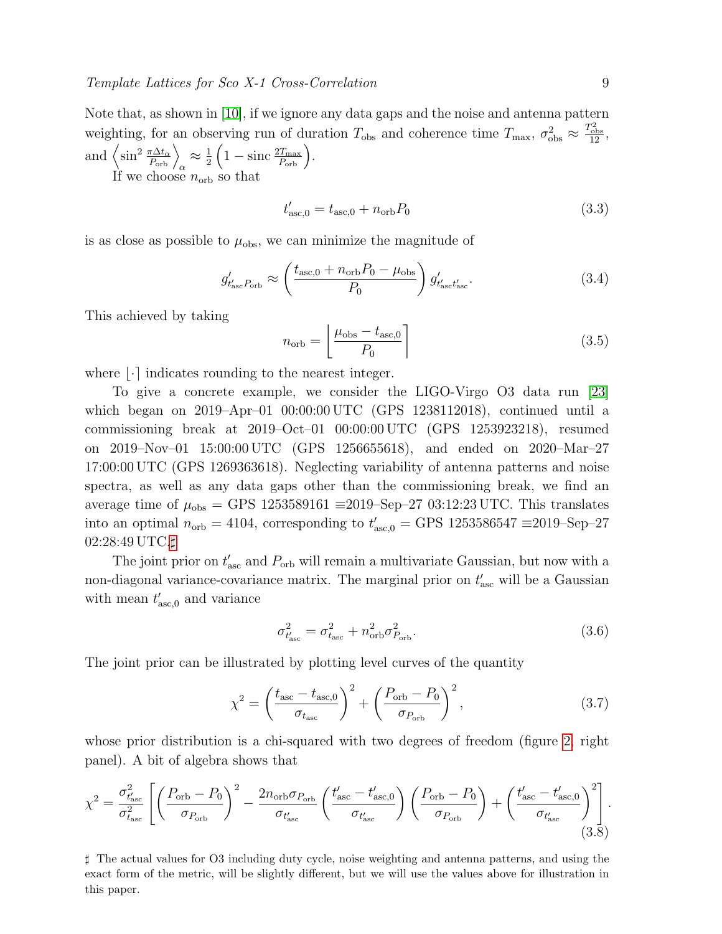Note that, as shown in [\[10\]](#page-18-2), if we ignore any data gaps and the noise and antenna pattern weighting, for an observing run of duration  $T_{obs}$  and coherence time  $T_{\text{max}}$ ,  $\sigma_{obs}^2 \approx \frac{T_{obs}^2}{12}$ , and  $\left\langle \sin^2 \frac{\pi \Delta t_\alpha}{P_{\text{orb}}} \right\rangle_\alpha \approx \frac{1}{2}$ 2  $\left(1-\text{sinc}\,\frac{2T_{\text{max}}}{P_{\text{orb}}}\right).$ 

If we choose  $n_{\text{orb}}$  so that

$$
t'_{\rm asc, 0} = t_{\rm asc, 0} + n_{\rm orb} P_0 \tag{3.3}
$$

is as close as possible to  $\mu_{obs}$ , we can minimize the magnitude of

$$
g'_{t'_{\rm asc} P_{\rm orb}} \approx \left(\frac{t_{\rm asc, 0} + n_{\rm orb} P_0 - \mu_{\rm obs}}{P_0}\right) g'_{t'_{\rm asc} t'_{\rm asc}}.\tag{3.4}
$$

This achieved by taking

<span id="page-8-3"></span>
$$
n_{\rm orb} = \left[ \frac{\mu_{\rm obs} - t_{\rm asc,0}}{P_0} \right]
$$
 (3.5)

where  $|\cdot|$  indicates rounding to the nearest integer.

To give a concrete example, we consider the LIGO-Virgo O3 data run [\[23\]](#page-18-15) which began on 2019–Apr–01 00:00:00 UTC (GPS 1238112018), continued until a commissioning break at 2019–Oct–01 00:00:00 UTC (GPS 1253923218), resumed on 2019–Nov–01 15:00:00 UTC (GPS 1256655618), and ended on 2020–Mar–27 17:00:00 UTC (GPS 1269363618). Neglecting variability of antenna patterns and noise spectra, as well as any data gaps other than the commissioning break, we find an average time of  $\mu_{obs} =$  GPS 1253589161  $\equiv$ 2019–Sep–27 03:12:23 UTC. This translates into an optimal  $n_{\text{orb}} = 4104$ , corresponding to  $t'_{\text{asc,0}} = \text{GPS } 1253586547 \equiv 2019$ -Sep-27 02:28:49 UTC.[\]](#page-8-2)

The joint prior on  $t'_{\text{asc}}$  and  $P_{\text{orb}}$  will remain a multivariate Gaussian, but now with a non-diagonal variance-covariance matrix. The marginal prior on  $t'_{\text{asc}}$  will be a Gaussian with mean  $t'_{\text{asc},0}$  and variance

$$
\sigma_{t'_{\rm asc}}^2 = \sigma_{t_{\rm asc}}^2 + n_{\rm orb}^2 \sigma_{P_{\rm orb}}^2. \tag{3.6}
$$

The joint prior can be illustrated by plotting level curves of the quantity

<span id="page-8-0"></span>
$$
\chi^2 = \left(\frac{t_{\rm asc} - t_{\rm asc,0}}{\sigma_{t_{\rm asc}}}\right)^2 + \left(\frac{P_{\rm orb} - P_0}{\sigma_{P_{\rm orb}}}\right)^2,\tag{3.7}
$$

whose prior distribution is a chi-squared with two degrees of freedom (figure [2,](#page-7-0) right panel). A bit of algebra shows that

<span id="page-8-1"></span>
$$
\chi^2 = \frac{\sigma_{t'_{\rm asc}}^2}{\sigma_{t_{\rm asc}}^2} \left[ \left( \frac{P_{\rm orb} - P_0}{\sigma_{P_{\rm orb}}} \right)^2 - \frac{2n_{\rm orb}\sigma_{P_{\rm orb}}}{\sigma_{t'_{\rm asc}}} \left( \frac{t'_{\rm asc} - t'_{\rm asc,0}}{\sigma_{t'_{\rm asc}}} \right) \left( \frac{P_{\rm orb} - P_0}{\sigma_{P_{\rm orb}}} \right) + \left( \frac{t'_{\rm asc} - t'_{\rm asc,0}}{\sigma_{t'_{\rm asc}}} \right)^2 \right].
$$
\n(3.8)

<span id="page-8-2"></span>] The actual values for O3 including duty cycle, noise weighting and antenna patterns, and using the exact form of the metric, will be slightly different, but we will use the values above for illustration in this paper.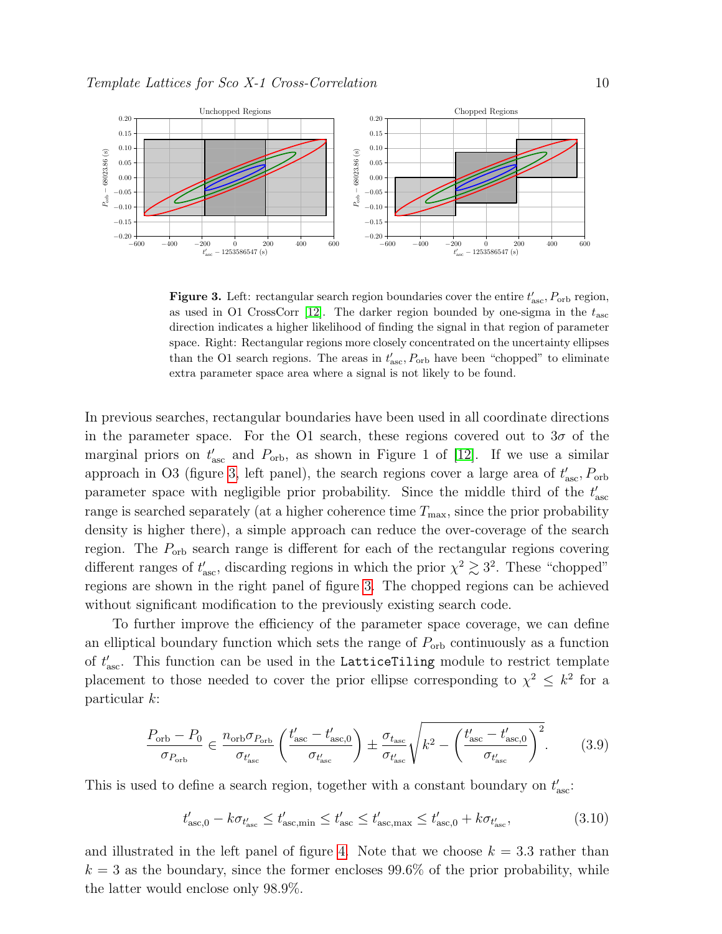

<span id="page-9-0"></span>**Figure 3.** Left: rectangular search region boundaries cover the entire  $t'_{\text{asc}}, P_{\text{orb}}$  region, as used in O1 CrossCorr [\[12\]](#page-18-4). The darker region bounded by one-sigma in the  $t_{\text{asc}}$ direction indicates a higher likelihood of finding the signal in that region of parameter space. Right: Rectangular regions more closely concentrated on the uncertainty ellipses than the O1 search regions. The areas in  $t'_{\text{asc}}$ ,  $P_{\text{orb}}$  have been "chopped" to eliminate extra parameter space area where a signal is not likely to be found.

In previous searches, rectangular boundaries have been used in all coordinate directions in the parameter space. For the O1 search, these regions covered out to  $3\sigma$  of the marginal priors on  $t'_{\text{asc}}$  and  $P_{\text{orb}}$ , as shown in Figure 1 of [\[12\]](#page-18-4). If we use a similar approach in O3 (figure [3,](#page-9-0) left panel), the search regions cover a large area of  $t'_{\text{asc}}$ ,  $P_{\text{orb}}$ parameter space with negligible prior probability. Since the middle third of the  $t'_{\text{asc}}$ range is searched separately (at a higher coherence time  $T_{\text{max}}$ , since the prior probability density is higher there), a simple approach can reduce the over-coverage of the search region. The  $P_{\rm orb}$  search range is different for each of the rectangular regions covering different ranges of  $t'_{\text{asc}}$ , discarding regions in which the prior  $\chi^2 \gtrsim 3^2$ . These "chopped" regions are shown in the right panel of figure [3.](#page-9-0) The chopped regions can be achieved without significant modification to the previously existing search code.

To further improve the efficiency of the parameter space coverage, we can define an elliptical boundary function which sets the range of  $P_{\rm orb}$  continuously as a function of  $t'_{\rm asc}$ . This function can be used in the LatticeTiling module to restrict template placement to those needed to cover the prior ellipse corresponding to  $\chi^2 \leq k^2$  for a particular k:

<span id="page-9-1"></span>
$$
\frac{P_{\rm orb} - P_0}{\sigma_{P_{\rm orb}}} \in \frac{n_{\rm orb}\sigma_{P_{\rm orb}}}{\sigma_{t'_{\rm asc}}} \left(\frac{t'_{\rm asc} - t'_{\rm asc,0}}{\sigma_{t'_{\rm asc}}} \right) \pm \frac{\sigma_{t_{\rm asc}}}{\sigma_{t'_{\rm asc}}} \sqrt{k^2 - \left(\frac{t'_{\rm asc} - t'_{\rm asc,0}}{\sigma_{t'_{\rm asc}}} \right)^2}.
$$
 (3.9)

This is used to define a search region, together with a constant boundary on  $t'_{\text{asc}}$ :

$$
t'_{\rm asc,0} - k\sigma_{t'_{\rm asc}} \le t'_{\rm asc,min} \le t'_{\rm asc} \le t'_{\rm asc,max} \le t'_{\rm asc,0} + k\sigma_{t'_{\rm asc}},\tag{3.10}
$$

and illustrated in the left panel of figure [4.](#page-10-1) Note that we choose  $k = 3.3$  rather than  $k = 3$  as the boundary, since the former encloses 99.6% of the prior probability, while the latter would enclose only 98.9%.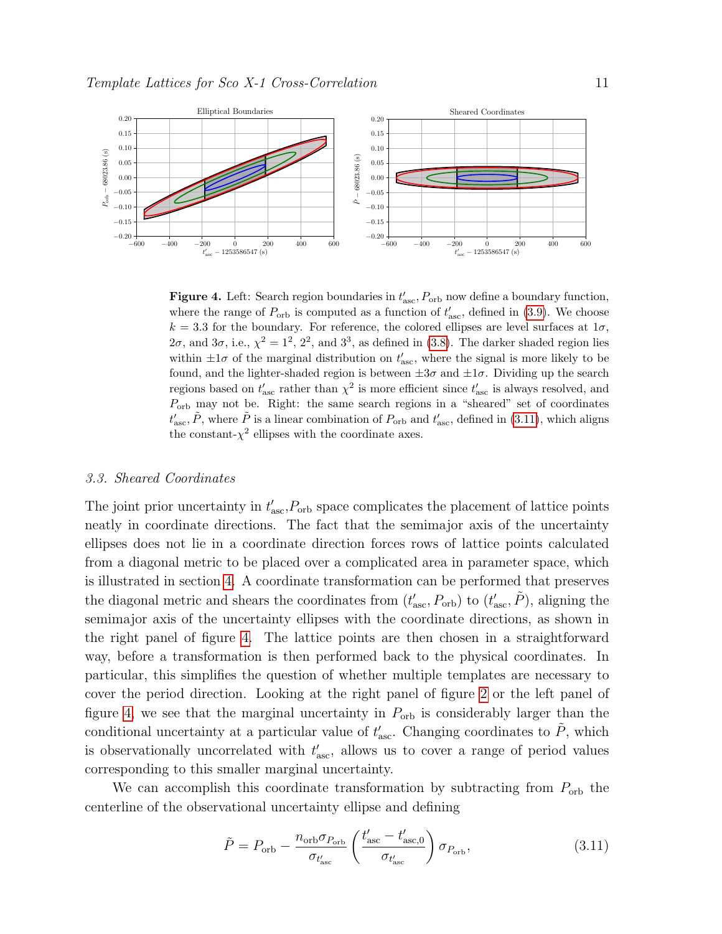

<span id="page-10-1"></span>**Figure 4.** Left: Search region boundaries in  $t'_{\text{asc}}, P_{\text{orb}}$  now define a boundary function, where the range of  $P_{\text{orb}}$  is computed as a function of  $t'_{\text{asc}}$ , defined in [\(3.9\)](#page-9-1). We choose  $k = 3.3$  for the boundary. For reference, the colored ellipses are level surfaces at  $1\sigma$ , 2 $\sigma$ , and 3 $\sigma$ , i.e.,  $\chi^2 = 1^2$ ,  $2^2$ , and  $3^3$ , as defined in [\(3.8\)](#page-8-1). The darker shaded region lies within  $\pm 1\sigma$  of the marginal distribution on  $t'_{\text{asc}}$ , where the signal is more likely to be found, and the lighter-shaded region is between  $\pm 3\sigma$  and  $\pm 1\sigma$ . Dividing up the search regions based on  $t'_{\text{asc}}$  rather than  $\chi^2$  is more efficient since  $t'_{\text{asc}}$  is always resolved, and  $P_{\text{orb}}$  may not be. Right: the same search regions in a "sheared" set of coordinates  $t'_{\text{asc}}$ ,  $\tilde{P}$ , where  $\tilde{P}$  is a linear combination of  $P_{\text{orb}}$  and  $t'_{\text{asc}}$ , defined in [\(3.11\)](#page-10-2), which aligns the constant- $\chi^2$  ellipses with the coordinate axes.

#### <span id="page-10-0"></span>3.3. Sheared Coordinates

The joint prior uncertainty in  $t'_{\text{asc}}$ ,  $P_{\text{orb}}$  space complicates the placement of lattice points neatly in coordinate directions. The fact that the semimajor axis of the uncertainty ellipses does not lie in a coordinate direction forces rows of lattice points calculated from a diagonal metric to be placed over a complicated area in parameter space, which is illustrated in section [4.](#page-12-0) A coordinate transformation can be performed that preserves the diagonal metric and shears the coordinates from  $(t'_{\text{asc}}, P_{\text{orb}})$  to  $(t'_{\text{asc}}, \tilde{P})$ , aligning the semimajor axis of the uncertainty ellipses with the coordinate directions, as shown in the right panel of figure [4.](#page-10-1) The lattice points are then chosen in a straightforward way, before a transformation is then performed back to the physical coordinates. In particular, this simplifies the question of whether multiple templates are necessary to cover the period direction. Looking at the right panel of figure [2](#page-7-0) or the left panel of figure [4,](#page-10-1) we see that the marginal uncertainty in  $P_{\text{orb}}$  is considerably larger than the conditional uncertainty at a particular value of  $t'_{\text{asc}}$ . Changing coordinates to  $\tilde{P}$ , which is observationally uncorrelated with  $t'_{\text{asc}}$ , allows us to cover a range of period values corresponding to this smaller marginal uncertainty.

We can accomplish this coordinate transformation by subtracting from  $P_{\text{orb}}$  the centerline of the observational uncertainty ellipse and defining

<span id="page-10-2"></span>
$$
\tilde{P} = P_{\rm orb} - \frac{n_{\rm orb} \sigma_{P_{\rm orb}}}{\sigma_{t'_{\rm asc}}} \left( \frac{t'_{\rm asc} - t'_{\rm asc,0}}{\sigma_{t'_{\rm asc}}} \right) \sigma_{P_{\rm orb}},\tag{3.11}
$$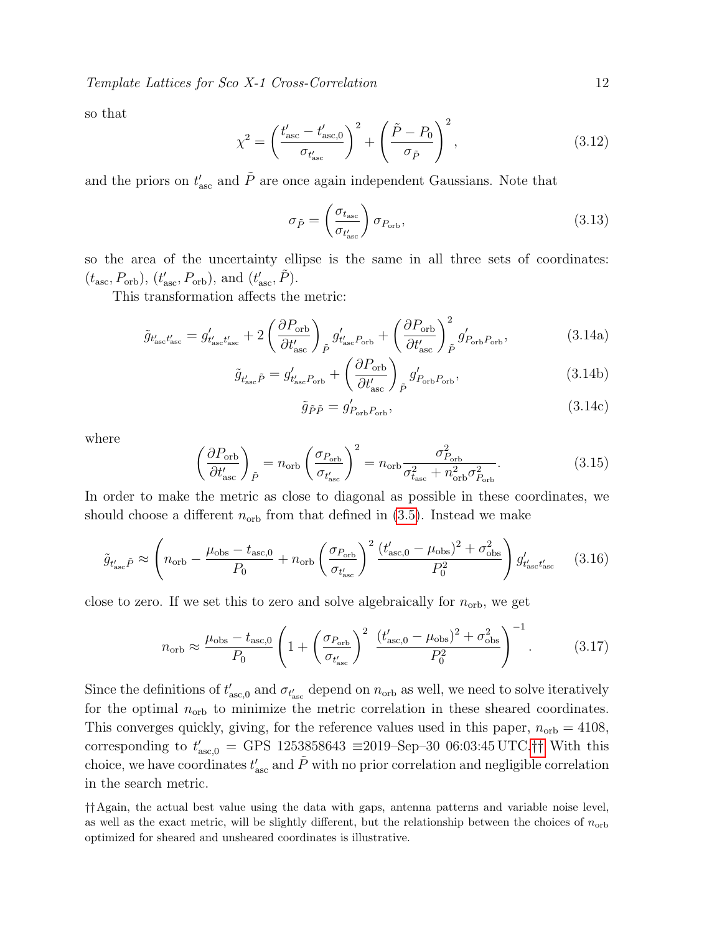Template Lattices for Sco X-1 Cross-Correlation 12

so that

<span id="page-11-2"></span>
$$
\chi^2 = \left(\frac{t'_{\rm asc} - t'_{\rm asc,0}}{\sigma_{t'_{\rm asc}}}\right)^2 + \left(\frac{\tilde{P} - P_0}{\sigma_{\tilde{P}}}\right)^2,\tag{3.12}
$$

and the priors on  $t'_{\text{asc}}$  and  $\tilde{P}$  are once again independent Gaussians. Note that

$$
\sigma_{\tilde{P}} = \left(\frac{\sigma_{t_{\text{asc}}}}{\sigma_{t'_{\text{asc}}}}\right) \sigma_{P_{\text{orb}}},\tag{3.13}
$$

so the area of the uncertainty ellipse is the same in all three sets of coordinates:  $(t_{\rm asc}, P_{\rm orb}),$   $(t'_{\rm asc}, P_{\rm orb}),$  and  $(t'_{\rm asc}, \tilde{P}).$ 

This transformation affects the metric:

$$
\tilde{g}_{t'_{\rm asc}t'_{\rm asc}} = g'_{t'_{\rm asc}t'_{\rm asc}} + 2\left(\frac{\partial P_{\rm orb}}{\partial t'_{\rm asc}}\right)_{\tilde{P}} g'_{t'_{\rm asc}P_{\rm orb}} + \left(\frac{\partial P_{\rm orb}}{\partial t'_{\rm asc}}\right)^2_{\tilde{P}} g'_{P_{\rm orb}P_{\rm orb}},\tag{3.14a}
$$

$$
\tilde{g}_{t'_{\rm asc}} \tilde{P} = g'_{t'_{\rm asc} P_{\rm orb}} + \left(\frac{\partial P_{\rm orb}}{\partial t'_{\rm asc}}\right)_{\tilde{P}} g'_{P_{\rm orb} P_{\rm orb}},\tag{3.14b}
$$

$$
\tilde{g}_{\tilde{P}\tilde{P}} = g'_{P_{\text{orb}}P_{\text{orb}}},\tag{3.14c}
$$

where

$$
\left(\frac{\partial P_{\text{orb}}}{\partial t'_{\text{asc}}}\right)_{\tilde{P}} = n_{\text{orb}} \left(\frac{\sigma_{P_{\text{orb}}}}{\sigma_{t'_{\text{asc}}}}\right)^2 = n_{\text{orb}} \frac{\sigma_{P_{\text{orb}}}}{\sigma_{t_{\text{asc}}}^2 + n_{\text{orb}}^2 \sigma_{P_{\text{orb}}}^2}.
$$
\n(3.15)

In order to make the metric as close to diagonal as possible in these coordinates, we should choose a different  $n_{\text{orb}}$  from that defined in [\(3.5\)](#page-8-3). Instead we make

$$
\tilde{g}_{t'_{\rm asc}\tilde{P}} \approx \left( n_{\rm orb} - \frac{\mu_{\rm obs} - t_{\rm asc,0}}{P_0} + n_{\rm orb} \left( \frac{\sigma_{P_{\rm orb}}}{\sigma_{t'_{\rm asc}}} \right)^2 \frac{(t'_{\rm asc,0} - \mu_{\rm obs})^2 + \sigma_{\rm obs}^2}{P_0^2} \right) g'_{t'_{\rm asc} t'_{\rm asc}} \tag{3.16}
$$

close to zero. If we set this to zero and solve algebraically for  $n_{\rm orb}$ , we get

<span id="page-11-1"></span>
$$
n_{\rm orb} \approx \frac{\mu_{\rm obs} - t_{\rm asc,0}}{P_0} \left( 1 + \left( \frac{\sigma_{P_{\rm orb}}}{\sigma_{t'_{\rm asc}}} \right)^2 \frac{(t'_{\rm asc,0} - \mu_{\rm obs})^2 + \sigma_{\rm obs}^2}{P_0^2} \right)^{-1} . \tag{3.17}
$$

Since the definitions of  $t'_{\text{asc},0}$  and  $\sigma_{t'_{\text{asc}}}$  depend on  $n_{\text{orb}}$  as well, we need to solve iteratively for the optimal  $n_{\text{orb}}$  to minimize the metric correlation in these sheared coordinates. This converges quickly, giving, for the reference values used in this paper,  $n_{\rm orb} = 4108$ , corresponding to  $t'_{\text{asc,0}} =$  GPS 1253858643  $\equiv$ 2019–Sep–30 06:03:45 UTC.[††](#page-11-0) With this choice, we have coordinates  $t'_{\text{asc}}$  and  $\tilde{P}$  with no prior correlation and negligible correlation in the search metric.

<span id="page-11-0"></span>††Again, the actual best value using the data with gaps, antenna patterns and variable noise level, as well as the exact metric, will be slightly different, but the relationship between the choices of  $n_{\text{orb}}$ optimized for sheared and unsheared coordinates is illustrative.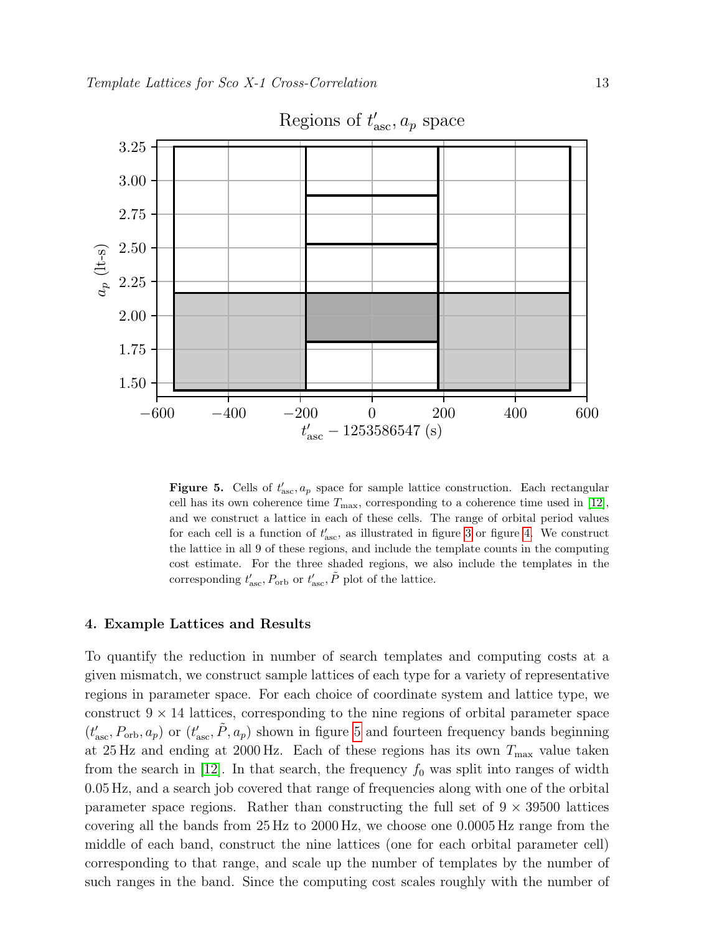

<span id="page-12-1"></span>**Figure 5.** Cells of  $t'_{\text{asc}}$ ,  $a_p$  space for sample lattice construction. Each rectangular cell has its own coherence time  $T_{\text{max}}$ , corresponding to a coherence time used in [\[12\]](#page-18-4), and we construct a lattice in each of these cells. The range of orbital period values for each cell is a function of  $t'_{\text{asc}}$ , as illustrated in figure [3](#page-9-0) or figure [4.](#page-10-1) We construct the lattice in all 9 of these regions, and include the template counts in the computing cost estimate. For the three shaded regions, we also include the templates in the corresponding  $t'_{\text{asc}}, P_{\text{orb}}$  or  $t'_{\text{asc}}, \tilde{P}$  plot of the lattice.

#### <span id="page-12-0"></span>4. Example Lattices and Results

To quantify the reduction in number of search templates and computing costs at a given mismatch, we construct sample lattices of each type for a variety of representative regions in parameter space. For each choice of coordinate system and lattice type, we construct  $9 \times 14$  lattices, corresponding to the nine regions of orbital parameter space  $(t'_{\text{asc}}, P_{\text{orb}}, a_p)$  or  $(t'_{\text{asc}}, \tilde{P}, a_p)$  shown in figure [5](#page-12-1) and fourteen frequency bands beginning at 25 Hz and ending at 2000 Hz. Each of these regions has its own  $T_{\text{max}}$  value taken from the search in [\[12\]](#page-18-4). In that search, the frequency  $f_0$  was split into ranges of width 0.05 Hz, and a search job covered that range of frequencies along with one of the orbital parameter space regions. Rather than constructing the full set of  $9 \times 39500$  lattices covering all the bands from 25 Hz to 2000 Hz, we choose one 0.0005 Hz range from the middle of each band, construct the nine lattices (one for each orbital parameter cell) corresponding to that range, and scale up the number of templates by the number of such ranges in the band. Since the computing cost scales roughly with the number of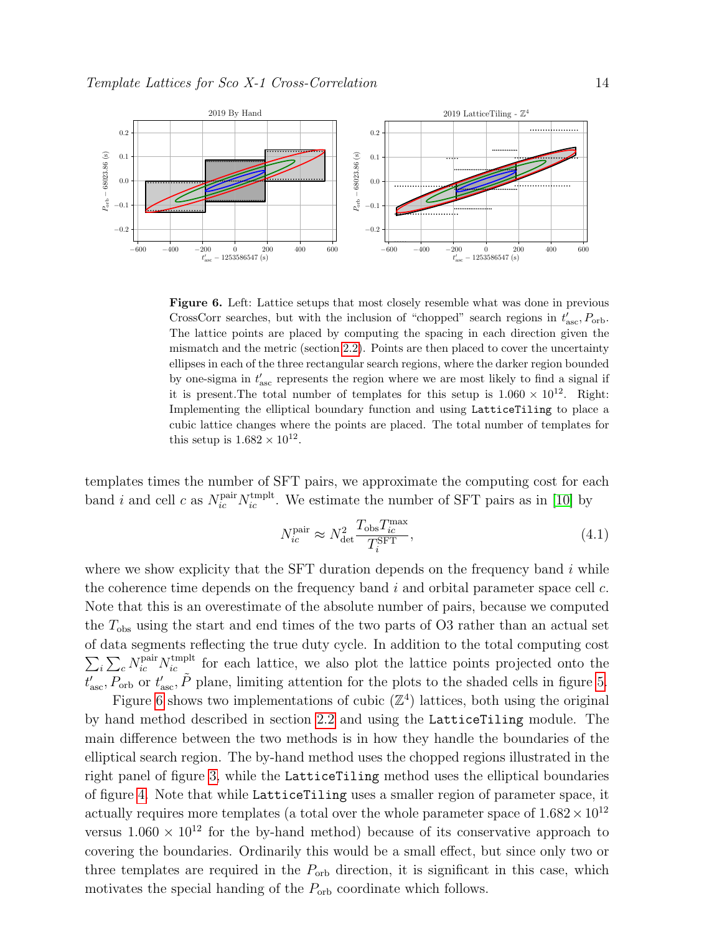

<span id="page-13-0"></span>Figure 6. Left: Lattice setups that most closely resemble what was done in previous CrossCorr searches, but with the inclusion of "chopped" search regions in  $t'_{\text{asc}}$ ,  $P_{\text{orb}}$ . The lattice points are placed by computing the spacing in each direction given the mismatch and the metric (section [2.2\)](#page-3-0). Points are then placed to cover the uncertainty ellipses in each of the three rectangular search regions, where the darker region bounded by one-sigma in  $t'_{\text{asc}}$  represents the region where we are most likely to find a signal if it is present. The total number of templates for this setup is  $1.060 \times 10^{12}$ . Right: Implementing the elliptical boundary function and using LatticeTiling to place a cubic lattice changes where the points are placed. The total number of templates for this setup is  $1.682 \times 10^{12}$ .

templates times the number of SFT pairs, we approximate the computing cost for each band *i* and cell *c* as  $N_{ic}^{\text{pair}} N_{ic}^{\text{tmplt}}$ . We estimate the number of SFT pairs as in [\[10\]](#page-18-2) by

$$
N_{ic}^{\text{pair}} \approx N_{\text{det}}^2 \frac{T_{\text{obs}} T_{ic}^{\text{max}}}{T_i^{\text{SFT}}},\tag{4.1}
$$

where we show explicity that the SFT duration depends on the frequency band  $i$  while the coherence time depends on the frequency band  $i$  and orbital parameter space cell  $c$ . Note that this is an overestimate of the absolute number of pairs, because we computed the  $T_{\text{obs}}$  using the start and end times of the two parts of O3 rather than an actual set of data segments reflecting the true duty cycle. In addition to the total computing cost  $\sum_i \sum_c N_{ic}^{\text{pair}} N_{ic}^{\text{tmplt}}$  for each lattice, we also plot the lattice points projected onto the  $t'_{\text{asc}}$ ,  $P_{\text{orb}}$  or  $t'_{\text{asc}}$ ,  $\tilde{P}$  plane, limiting attention for the plots to the shaded cells in figure [5.](#page-12-1)

Figure [6](#page-13-0) shows two implementations of cubic  $(\mathbb{Z}^4)$  lattices, both using the original by hand method described in section [2.2](#page-3-0) and using the LatticeTiling module. The main difference between the two methods is in how they handle the boundaries of the elliptical search region. The by-hand method uses the chopped regions illustrated in the right panel of figure [3,](#page-9-0) while the LatticeTiling method uses the elliptical boundaries of figure [4.](#page-10-1) Note that while LatticeTiling uses a smaller region of parameter space, it actually requires more templates (a total over the whole parameter space of  $1.682 \times 10^{12}$ versus  $1.060 \times 10^{12}$  for the by-hand method) because of its conservative approach to covering the boundaries. Ordinarily this would be a small effect, but since only two or three templates are required in the  $P_{\text{orb}}$  direction, it is significant in this case, which motivates the special handing of the  $P_{\text{orb}}$  coordinate which follows.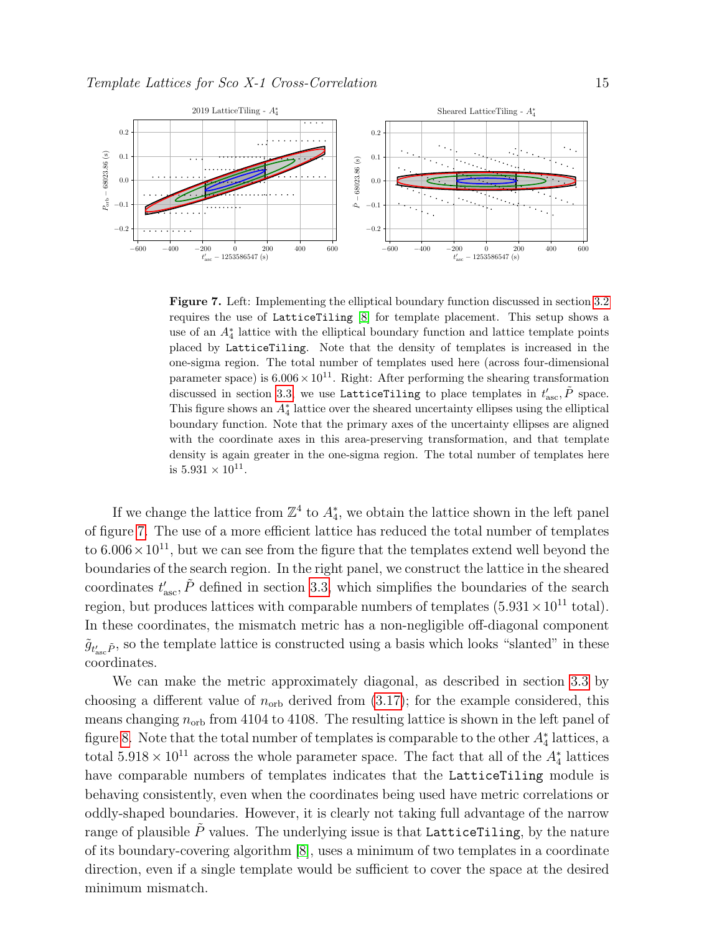

<span id="page-14-0"></span>Figure 7. Left: Implementing the elliptical boundary function discussed in section [3.2](#page-6-0) requires the use of LatticeTiling [\[8\]](#page-18-0) for template placement. This setup shows a use of an  $A_4^*$  lattice with the elliptical boundary function and lattice template points placed by LatticeTiling. Note that the density of templates is increased in the one-sigma region. The total number of templates used here (across four-dimensional parameter space) is  $6.006 \times 10^{11}$ . Right: After performing the shearing transformation discussed in section [3.3,](#page-10-0) we use LatticeTiling to place templates in  $t'_{\text{asc}}$ ,  $\tilde{P}$  space. This figure shows an  $A_4^*$  lattice over the sheared uncertainty ellipses using the elliptical boundary function. Note that the primary axes of the uncertainty ellipses are aligned with the coordinate axes in this area-preserving transformation, and that template density is again greater in the one-sigma region. The total number of templates here is  $5.931 \times 10^{11}$ .

If we change the lattice from  $\mathbb{Z}^4$  to  $A_4^*$ , we obtain the lattice shown in the left panel of figure [7.](#page-14-0) The use of a more efficient lattice has reduced the total number of templates to  $6.006 \times 10^{11}$ , but we can see from the figure that the templates extend well beyond the boundaries of the search region. In the right panel, we construct the lattice in the sheared coordinates  $t'_{\text{asc}}$ ,  $\tilde{P}$  defined in section [3.3,](#page-10-0) which simplifies the boundaries of the search region, but produces lattices with comparable numbers of templates (5.931  $\times 10^{11}$  total). In these coordinates, the mismatch metric has a non-negligible off-diagonal component  $\tilde{g}_{t'_{\text{asc}}\tilde{P}}$ , so the template lattice is constructed using a basis which looks "slanted" in these coordinates.

We can make the metric approximately diagonal, as described in section [3.3](#page-10-0) by choosing a different value of  $n_{\rm orb}$  derived from [\(3.17\)](#page-11-1); for the example considered, this means changing  $n_{\rm orb}$  from 4104 to 4108. The resulting lattice is shown in the left panel of figure [8.](#page-15-0) Note that the total number of templates is comparable to the other  $A_4^*$  lattices, a total  $5.918 \times 10^{11}$  across the whole parameter space. The fact that all of the  $A_4^*$  lattices have comparable numbers of templates indicates that the LatticeTiling module is behaving consistently, even when the coordinates being used have metric correlations or oddly-shaped boundaries. However, it is clearly not taking full advantage of the narrow range of plausible  $\tilde{P}$  values. The underlying issue is that LatticeTiling, by the nature of its boundary-covering algorithm [\[8\]](#page-18-0), uses a minimum of two templates in a coordinate direction, even if a single template would be sufficient to cover the space at the desired minimum mismatch.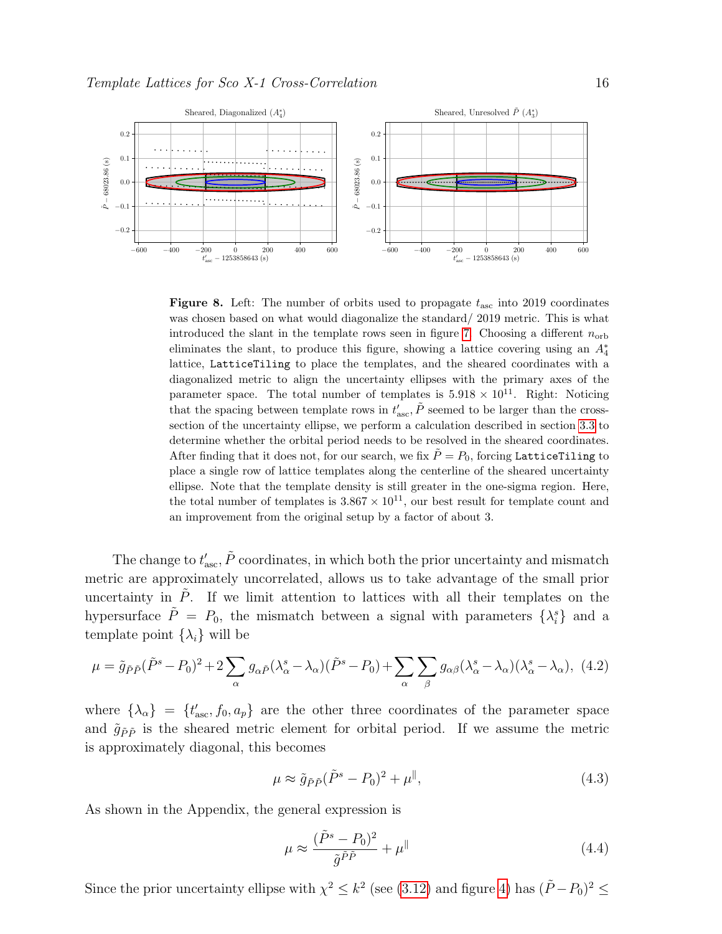

<span id="page-15-0"></span>**Figure 8.** Left: The number of orbits used to propagate  $t_{\text{asc}}$  into 2019 coordinates was chosen based on what would diagonalize the standard  $/$  2019 metric. This is what introduced the slant in the template rows seen in figure [7.](#page-14-0) Choosing a different  $n_{\rm orb}$ eliminates the slant, to produce this figure, showing a lattice covering using an  $A_4^*$ lattice, LatticeTiling to place the templates, and the sheared coordinates with a diagonalized metric to align the uncertainty ellipses with the primary axes of the parameter space. The total number of templates is  $5.918 \times 10^{11}$ . Right: Noticing that the spacing between template rows in  $t'_{\text{asc}}, \tilde{P}$  seemed to be larger than the crosssection of the uncertainty ellipse, we perform a calculation described in section [3.3](#page-10-0) to determine whether the orbital period needs to be resolved in the sheared coordinates. After finding that it does not, for our search, we fix  $\tilde{P} = P_0$ , forcing LatticeTiling to place a single row of lattice templates along the centerline of the sheared uncertainty ellipse. Note that the template density is still greater in the one-sigma region. Here, the total number of templates is  $3.867 \times 10^{11}$ , our best result for template count and an improvement from the original setup by a factor of about 3.

The change to  $t'_{\text{asc}}, \tilde{P}$  coordinates, in which both the prior uncertainty and mismatch metric are approximately uncorrelated, allows us to take advantage of the small prior uncertainty in  $\tilde{P}$ . If we limit attention to lattices with all their templates on the hypersurface  $\tilde{P} = P_0$ , the mismatch between a signal with parameters  $\{\lambda_i^s\}$  and a template point  $\{\lambda_i\}$  will be

$$
\mu = \tilde{g}_{\tilde{P}\tilde{P}}(\tilde{P}^s - P_0)^2 + 2\sum_{\alpha} g_{\alpha\tilde{P}}(\lambda^s_{\alpha} - \lambda_{\alpha})(\tilde{P}^s - P_0) + \sum_{\alpha} \sum_{\beta} g_{\alpha\beta}(\lambda^s_{\alpha} - \lambda_{\alpha})(\lambda^s_{\alpha} - \lambda_{\alpha}), \tag{4.2}
$$

where  $\{\lambda_{\alpha}\} = \{t'_{\text{asc}}, f_0, a_p\}$  are the other three coordinates of the parameter space and  $\tilde{g}_{\tilde{P}\tilde{P}}$  is the sheared metric element for orbital period. If we assume the metric is approximately diagonal, this becomes

$$
\mu \approx \tilde{g}_{\tilde{P}\tilde{P}}(\tilde{P}^s - P_0)^2 + \mu^{\parallel},\tag{4.3}
$$

As shown in the Appendix, the general expression is

$$
\mu \approx \frac{(\tilde{P}^s - P_0)^2}{\tilde{g}^{\tilde{P}\tilde{P}}} + \mu^{\parallel}
$$
\n(4.4)

Since the prior uncertainty ellipse with  $\chi^2 \leq k^2$  (see [\(3.12\)](#page-11-2) and figure [4\)](#page-10-1) has  $(\tilde{P} - P_0)^2 \leq$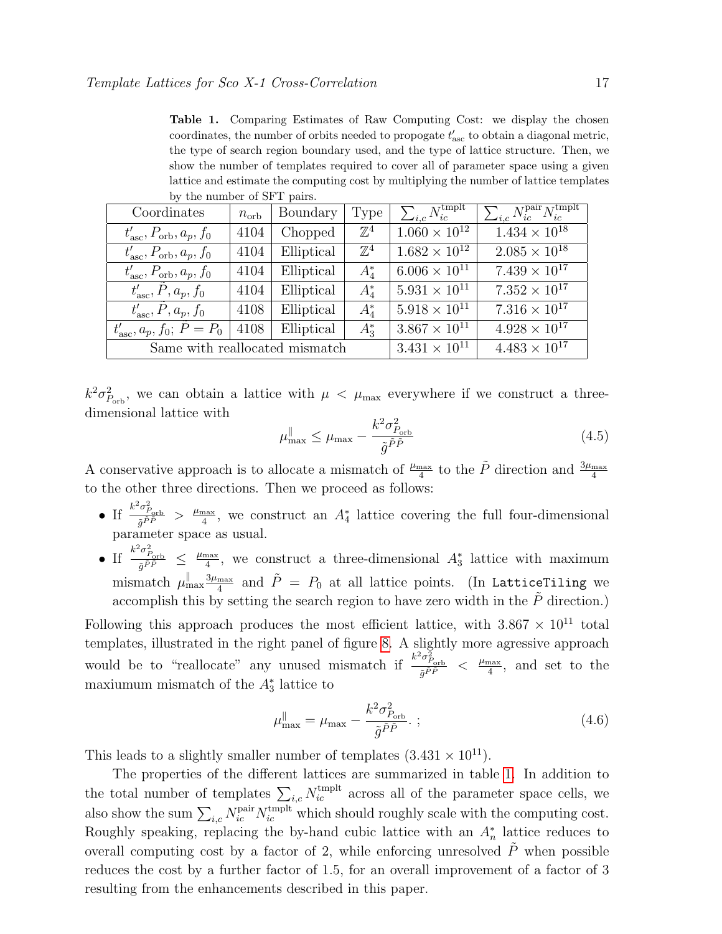<span id="page-16-0"></span>Table 1. Comparing Estimates of Raw Computing Cost: we display the chosen coordinates, the number of orbits needed to propogate  $t'_{\text{asc}}$  to obtain a diagonal metric, the type of search region boundary used, and the type of lattice structure. Then, we show the number of templates required to cover all of parameter space using a given lattice and estimate the computing cost by multiplying the number of lattice templates by the number of SFT pairs.

| Coordinates                                 | $n_{\rm orb}$ | Boundary   | Type           | $\sum_{i,c} \overline{N^{\rm{tmplt}}_{ic}}$ | $\sum_{i,c} N^{\text{pair}}_{ic} N^{\text{tmplt}}_{ic}$ |
|---------------------------------------------|---------------|------------|----------------|---------------------------------------------|---------------------------------------------------------|
| $t'_{\rm asc}, P_{\rm orb}, a_p, f_0$       | 4104          | Chopped    | $\mathbb{Z}^4$ | $1.060 \times 10^{12}$                      | $1.434 \times 10^{18}$                                  |
| $t'_{\text{asc}}, P_{\text{orb}}, a_p, f_0$ | 4104          | Elliptical | $\mathbb{Z}^4$ | $1.682 \times 10^{12}$                      | $2.085 \times 10^{18}$                                  |
| $t'_{\rm asc}, P_{\rm orb}, a_p, f_0$       | 4104          | Elliptical | $A_4^*$        | $6.006 \times 10^{11}$                      | $7.439 \times 10^{17}$                                  |
| $t'_{\text{asc}}, P, a_p, f_0$              | 4104          | Elliptical | $A^*_A$        | $5.931 \times 10^{11}$                      | $7.352 \times 10^{17}$                                  |
| $t'_{\text{asc}}, P, a_p, f_0$              | 4108          | Elliptical | $A_4^*$        | $5.918 \times 10^{11}$                      | $7.316 \times 10^{17}$                                  |
| $t'_{\text{asc}}, a_p, f_0; P = P_0$        | 4108          | Elliptical | $A_3^*$        | $3.867 \times 10^{11}$                      | $4.928 \times 10^{17}$                                  |
| Same with reallocated mismatch              |               |            |                | $3.431 \times 10^{11}$                      | $4.483 \times 10^{17}$                                  |

 $k^2 \sigma_{P_{\text{orb}}}^2$ , we can obtain a lattice with  $\mu < \mu_{\text{max}}$  everywhere if we construct a threedimensional lattice with

$$
\mu_{\max}^{\parallel} \le \mu_{\max} - \frac{k^2 \sigma_{P_{\text{orb}}}^2}{\tilde{g}^{\tilde{P}\tilde{P}}} \tag{4.5}
$$

A conservative approach is to allocate a mismatch of  $\frac{\mu_{\text{max}}}{4}$  to the  $\tilde{P}$  direction and  $\frac{3\mu_{\text{max}}}{4}$ to the other three directions. Then we proceed as follows:

- $\bullet$  If  $\frac{k^2\sigma^2_{P_{\rm orb}}}{\tilde{g}^{\tilde{P}\tilde{P}}}$   $>$   $\frac{\mu_{\rm max}}{4}$  $\frac{\text{max}}{4}$ , we construct an  $A_4^*$  lattice covering the full four-dimensional parameter space as usual.
- $\bullet$  If  $\frac{k^2\sigma^2_{P_{\rm orb}}}{\tilde{g}^{\tilde{P}\tilde{P}}} \ \leq \ \frac{\mu_{\rm max}}{4}$  $\frac{\text{max}}{4}$ , we construct a three-dimensional  $A_3^*$  lattice with maximum mismatch  $\mu_{\max}^{\parallel} \frac{3\mu_{\max}}{4}$  $\frac{\text{max}}{4}$  and  $\tilde{P} = P_0$  at all lattice points. (In LatticeTiling we accomplish this by setting the search region to have zero width in the  $\tilde{P}$  direction.)

Following this approach produces the most efficient lattice, with  $3.867 \times 10^{11}$  total templates, illustrated in the right panel of figure [8.](#page-15-0) A slightly more agressive approach would be to "reallocate" any unused mismatch if  $\frac{k^2 \sigma_{\text{Proth}}^2}{\tilde{g}^{\tilde{P}\tilde{P}}} < \frac{\mu_{\text{max}}}{4}$  $\frac{\text{max}}{4}$ , and set to the maxiumum mismatch of the  $A_3^*$  lattice to

$$
\mu_{\text{max}}^{\parallel} = \mu_{\text{max}} - \frac{k^2 \sigma_{P_{\text{orb}}}}{\tilde{g}^{\tilde{P}\tilde{P}}}. \tag{4.6}
$$

This leads to a slightly smaller number of templates  $(3.431 \times 10^{11})$ .

The properties of the different lattices are summarized in table [1.](#page-16-0) In addition to the total number of templates  $\sum_{i,c} N_{ic}^{\text{tmplt}}$  across all of the parameter space cells, we also show the sum  $\sum_{i,c} N_{ic}^{\text{pair}} N_{ic}^{\text{tmplt}}$  which should roughly scale with the computing cost. Roughly speaking, replacing the by-hand cubic lattice with an  $A_n^*$  lattice reduces to overall computing cost by a factor of 2, while enforcing unresolved  $\tilde{P}$  when possible reduces the cost by a further factor of 1.5, for an overall improvement of a factor of 3 resulting from the enhancements described in this paper.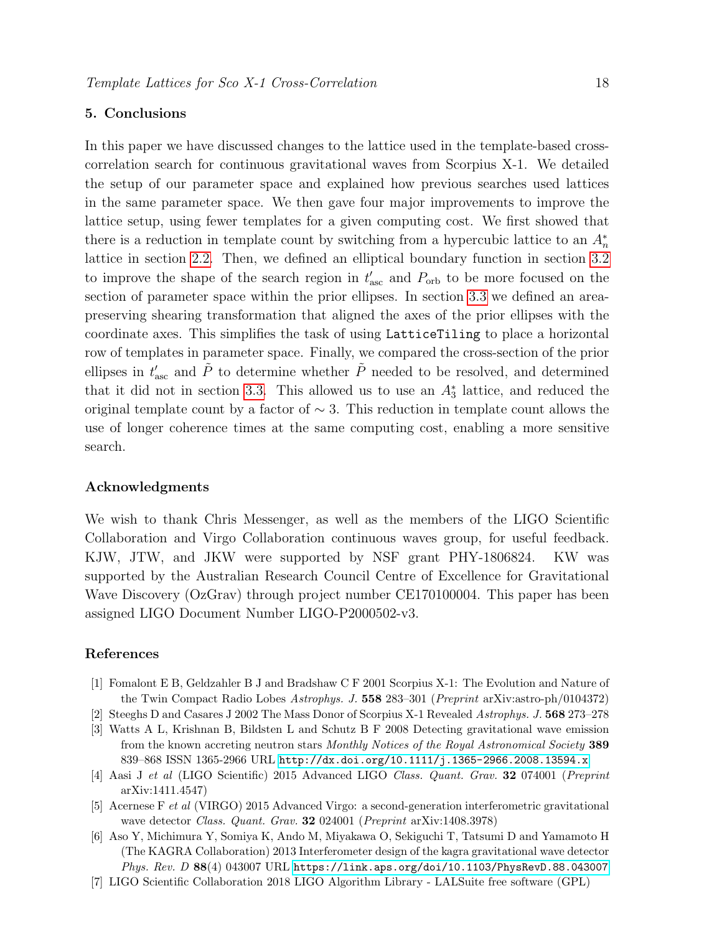# <span id="page-17-7"></span>5. Conclusions

In this paper we have discussed changes to the lattice used in the template-based crosscorrelation search for continuous gravitational waves from Scorpius X-1. We detailed the setup of our parameter space and explained how previous searches used lattices in the same parameter space. We then gave four major improvements to improve the lattice setup, using fewer templates for a given computing cost. We first showed that there is a reduction in template count by switching from a hypercubic lattice to an  $A_n^*$ lattice in section [2.2.](#page-3-0) Then, we defined an elliptical boundary function in section [3.2](#page-6-0) to improve the shape of the search region in  $t'_{\text{asc}}$  and  $P_{\text{orb}}$  to be more focused on the section of parameter space within the prior ellipses. In section [3.3](#page-10-0) we defined an areapreserving shearing transformation that aligned the axes of the prior ellipses with the coordinate axes. This simplifies the task of using LatticeTiling to place a horizontal row of templates in parameter space. Finally, we compared the cross-section of the prior ellipses in  $t'_{\text{asc}}$  and  $\tilde{P}$  to determine whether  $\tilde{P}$  needed to be resolved, and determined that it did not in section [3.3.](#page-10-0) This allowed us to use an  $A_3^*$  lattice, and reduced the original template count by a factor of  $\sim$  3. This reduction in template count allows the use of longer coherence times at the same computing cost, enabling a more sensitive search.

# Acknowledgments

We wish to thank Chris Messenger, as well as the members of the LIGO Scientific Collaboration and Virgo Collaboration continuous waves group, for useful feedback. KJW, JTW, and JKW were supported by NSF grant PHY-1806824. KW was supported by the Australian Research Council Centre of Excellence for Gravitational Wave Discovery (OzGrav) through project number CE170100004. This paper has been assigned LIGO Document Number LIGO-P2000502-v3.

#### References

- <span id="page-17-0"></span>[1] Fomalont E B, Geldzahler B J and Bradshaw C F 2001 Scorpius X-1: The Evolution and Nature of the Twin Compact Radio Lobes Astrophys. J. 558 283-301 (Preprint arXiv:astro-ph/0104372)
- <span id="page-17-1"></span>[2] Steeghs D and Casares J 2002 The Mass Donor of Scorpius X-1 Revealed Astrophys. J. 568 273–278
- <span id="page-17-2"></span>[3] Watts A L, Krishnan B, Bildsten L and Schutz B F 2008 Detecting gravitational wave emission from the known accreting neutron stars Monthly Notices of the Royal Astronomical Society 389 839–868 ISSN 1365-2966 URL <http://dx.doi.org/10.1111/j.1365-2966.2008.13594.x>
- <span id="page-17-3"></span>[4] Aasi J et al (LIGO Scientific) 2015 Advanced LIGO Class. Quant. Grav. 32 074001 (Preprint arXiv:1411.4547)
- <span id="page-17-4"></span>[5] Acernese F et al (VIRGO) 2015 Advanced Virgo: a second-generation interferometric gravitational wave detector *Class. Quant. Grav.* **32** 024001 (*Preprint* arXiv:1408.3978)
- <span id="page-17-5"></span>[6] Aso Y, Michimura Y, Somiya K, Ando M, Miyakawa O, Sekiguchi T, Tatsumi D and Yamamoto H (The KAGRA Collaboration) 2013 Interferometer design of the kagra gravitational wave detector Phys. Rev. D 88(4) 043007 URL <https://link.aps.org/doi/10.1103/PhysRevD.88.043007>
- <span id="page-17-6"></span>[7] LIGO Scientific Collaboration 2018 LIGO Algorithm Library - LALSuite free software (GPL)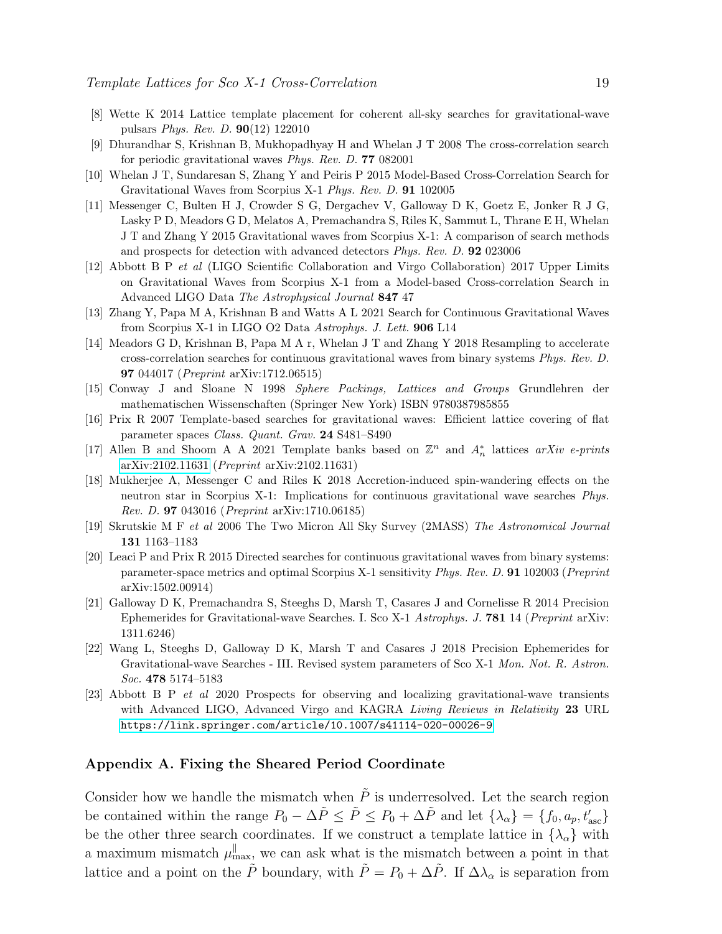- <span id="page-18-0"></span>[8] Wette K 2014 Lattice template placement for coherent all-sky searches for gravitational-wave pulsars Phys. Rev. D. 90(12) 122010
- <span id="page-18-1"></span>[9] Dhurandhar S, Krishnan B, Mukhopadhyay H and Whelan J T 2008 The cross-correlation search for periodic gravitational waves Phys. Rev. D. 77 082001
- <span id="page-18-2"></span>[10] Whelan J T, Sundaresan S, Zhang Y and Peiris P 2015 Model-Based Cross-Correlation Search for Gravitational Waves from Scorpius X-1 Phys. Rev. D. 91 102005
- <span id="page-18-3"></span>[11] Messenger C, Bulten H J, Crowder S G, Dergachev V, Galloway D K, Goetz E, Jonker R J G, Lasky P D, Meadors G D, Melatos A, Premachandra S, Riles K, Sammut L, Thrane E H, Whelan J T and Zhang Y 2015 Gravitational waves from Scorpius X-1: A comparison of search methods and prospects for detection with advanced detectors Phys. Rev. D. 92 023006
- <span id="page-18-4"></span>[12] Abbott B P et al (LIGO Scientific Collaboration and Virgo Collaboration) 2017 Upper Limits on Gravitational Waves from Scorpius X-1 from a Model-based Cross-correlation Search in Advanced LIGO Data The Astrophysical Journal 847 47
- <span id="page-18-5"></span>[13] Zhang Y, Papa M A, Krishnan B and Watts A L 2021 Search for Continuous Gravitational Waves from Scorpius X-1 in LIGO O2 Data Astrophys. J. Lett. 906 L14
- <span id="page-18-6"></span>[14] Meadors G D, Krishnan B, Papa M A r, Whelan J T and Zhang Y 2018 Resampling to accelerate cross-correlation searches for continuous gravitational waves from binary systems Phys. Rev. D. 97 044017 (Preprint arXiv:1712.06515)
- <span id="page-18-7"></span>[15] Conway J and Sloane N 1998 Sphere Packings, Lattices and Groups Grundlehren der mathematischen Wissenschaften (Springer New York) ISBN 9780387985855
- <span id="page-18-8"></span>[16] Prix R 2007 Template-based searches for gravitational waves: Efficient lattice covering of flat parameter spaces Class. Quant. Grav. 24 S481–S490
- <span id="page-18-9"></span>[17] Allen B and Shoom A A 2021 Template banks based on  $\mathbb{Z}^n$  and  $A_n^*$  lattices arXiv e-prints [arXiv:2102.11631](http://arxiv.org/abs/2102.11631) (Preprint arXiv:2102.11631)
- <span id="page-18-14"></span>[18] Mukherjee A, Messenger C and Riles K 2018 Accretion-induced spin-wandering effects on the neutron star in Scorpius X-1: Implications for continuous gravitational wave searches Phys. Rev. D. 97 043016 (Preprint arXiv:1710.06185)
- <span id="page-18-10"></span>[19] Skrutskie M F et al 2006 The Two Micron All Sky Survey (2MASS) The Astronomical Journal 131 1163–1183
- <span id="page-18-11"></span>[20] Leaci P and Prix R 2015 Directed searches for continuous gravitational waves from binary systems: parameter-space metrics and optimal Scorpius X-1 sensitivity Phys. Rev. D. 91 102003 (Preprint arXiv:1502.00914)
- <span id="page-18-12"></span>[21] Galloway D K, Premachandra S, Steeghs D, Marsh T, Casares J and Cornelisse R 2014 Precision Ephemerides for Gravitational-wave Searches. I. Sco X-1 Astrophys. J. 781 14 (Preprint arXiv: 1311.6246)
- <span id="page-18-13"></span>[22] Wang L, Steeghs D, Galloway D K, Marsh T and Casares J 2018 Precision Ephemerides for Gravitational-wave Searches - III. Revised system parameters of Sco X-1 Mon. Not. R. Astron. Soc. 478 5174–5183
- <span id="page-18-15"></span>[23] Abbott B P et al 2020 Prospects for observing and localizing gravitational-wave transients with Advanced LIGO, Advanced Virgo and KAGRA Living Reviews in Relativity 23 URL <https://link.springer.com/article/10.1007/s41114-020-00026-9>

#### Appendix A. Fixing the Sheared Period Coordinate

Consider how we handle the mismatch when  $\tilde{P}$  is underresolved. Let the search region be contained within the range  $P_0 - \Delta \tilde{P} \leq \tilde{P} \leq P_0 + \Delta \tilde{P}$  and let  $\{\lambda_{\alpha}\} = \{f_0, a_p, t'_{\text{asc}}\}$ be the other three search coordinates. If we construct a template lattice in  $\{\lambda_{\alpha}\}\$  with a maximum mismatch  $\mu_{\text{max}}^{\parallel}$ , we can ask what is the mismatch between a point in that lattice and a point on the  $\tilde{P}$  boundary, with  $\tilde{P} = P_0 + \Delta \tilde{P}$ . If  $\Delta \lambda_\alpha$  is separation from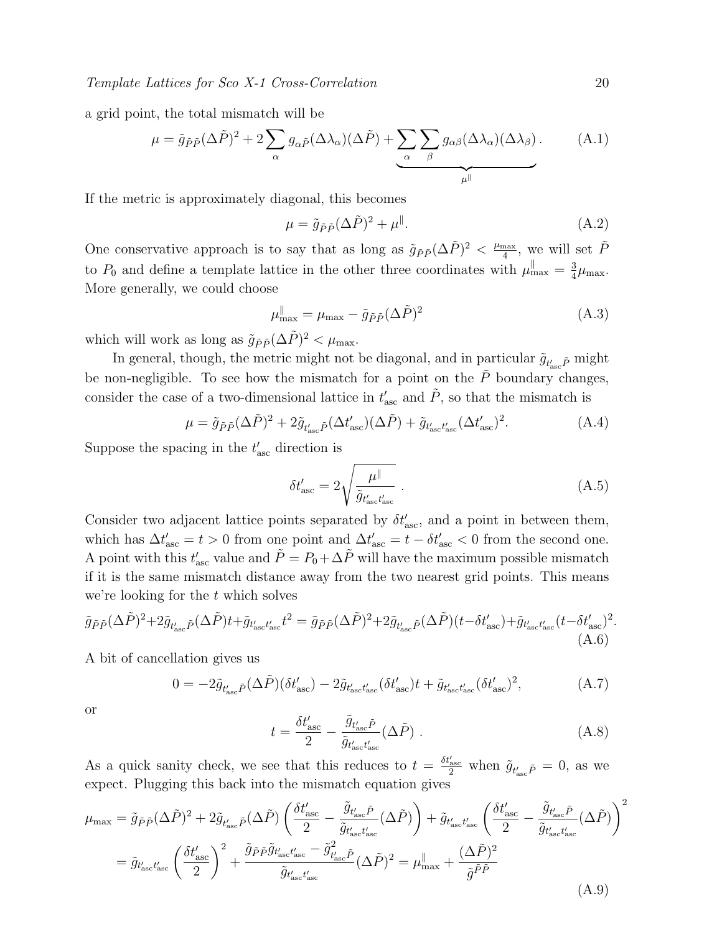a grid point, the total mismatch will be

$$
\mu = \tilde{g}_{\tilde{P}\tilde{P}}(\Delta \tilde{P})^2 + 2 \sum_{\alpha} g_{\alpha \tilde{P}}(\Delta \lambda_{\alpha})(\Delta \tilde{P}) + \underbrace{\sum_{\alpha} \sum_{\beta} g_{\alpha \beta}(\Delta \lambda_{\alpha})(\Delta \lambda_{\beta})}_{\mu^{\parallel}}.
$$
 (A.1)

If the metric is approximately diagonal, this becomes

$$
\mu = \tilde{g}_{\tilde{P}\tilde{P}}(\Delta \tilde{P})^2 + \mu^{\parallel}.
$$
\n(A.2)

One conservative approach is to say that as long as  $\tilde{g}_{\tilde{P}\tilde{P}}(\Delta \tilde{P})^2 < \frac{\mu_{\max}}{4}$  $\frac{\text{max}}{4}$ , we will set  $\tilde{P}$ to  $P_0$  and define a template lattice in the other three coordinates with  $\mu_{\text{max}}^{\parallel} = \frac{3}{4}$  $\frac{3}{4}\mu_{\max}$ . More generally, we could choose

$$
\mu_{\max}^{\parallel} = \mu_{\max} - \tilde{g}_{\tilde{P}\tilde{P}} (\Delta \tilde{P})^2
$$
\n(A.3)

which will work as long as  $\tilde{g}_{\tilde{P}\tilde{P}}(\Delta \tilde{P})^2 < \mu_{\text{max}}$ .

In general, though, the metric might not be diagonal, and in particular  $\tilde{g}_{t'_{\text{asc}}\tilde{P}}$  might be non-negligible. To see how the mismatch for a point on the  $\tilde{P}$  boundary changes, consider the case of a two-dimensional lattice in  $t'_{\text{asc}}$  and  $\tilde{P}$ , so that the mismatch is

$$
\mu = \tilde{g}_{\tilde{P}\tilde{P}}(\Delta \tilde{P})^2 + 2\tilde{g}_{t'_{\text{asc}}\tilde{P}}(\Delta t'_{\text{asc}})(\Delta \tilde{P}) + \tilde{g}_{t'_{\text{asc}}t'_{\text{asc}}}(\Delta t'_{\text{asc}})^2.
$$
\n(A.4)

Suppose the spacing in the  $t'_{\text{asc}}$  direction is

$$
\delta t'_{\rm asc} = 2 \sqrt{\frac{\mu^{\parallel}}{\tilde{g}_{t'_{\rm asc} t'_{\rm asc}}} \,. \tag{A.5}
$$

Consider two adjacent lattice points separated by  $\delta t'_{\rm asc}$ , and a point in between them, which has  $\Delta t'_{\rm asc} = t > 0$  from one point and  $\Delta t'_{\rm asc} = t - \delta t'_{\rm asc} < 0$  from the second one. A point with this  $t'_{\text{asc}}$  value and  $\tilde{P} = P_0 + \Delta \tilde{P}$  will have the maximum possible mismatch if it is the same mismatch distance away from the two nearest grid points. This means we're looking for the  $t$  which solves

$$
\tilde{g}_{\tilde{P}\tilde{P}}(\Delta \tilde{P})^2 + 2\tilde{g}_{t'_{\text{asc}}\tilde{P}}(\Delta \tilde{P})t + \tilde{g}_{t'_{\text{asc}}t'_{\text{asc}}}t^2 = \tilde{g}_{\tilde{P}\tilde{P}}(\Delta \tilde{P})^2 + 2\tilde{g}_{t'_{\text{asc}}\tilde{P}}(\Delta \tilde{P})(t - \delta t'_{\text{asc}}) + \tilde{g}_{t'_{\text{asc}}t'_{\text{asc}}}(t - \delta t'_{\text{asc}})^2. \tag{A.6}
$$

A bit of cancellation gives us

$$
0 = -2\tilde{g}_{t'_{\rm asc}\tilde{P}}(\Delta \tilde{P})(\delta t'_{\rm asc}) - 2\tilde{g}_{t'_{\rm asc}t'_{\rm asc}}(\delta t'_{\rm asc})t + \tilde{g}_{t'_{\rm asc}t'_{\rm asc}}(\delta t'_{\rm asc})^2,\tag{A.7}
$$

or

$$
t = \frac{\delta t'_{\rm asc}}{2} - \frac{\tilde{g}_{t'_{\rm asc}\tilde{P}}}{\tilde{g}_{t'_{\rm asc}t'_{\rm asc}}} (\Delta \tilde{P}) \tag{A.8}
$$

As a quick sanity check, we see that this reduces to  $t = \frac{\delta t'_{\text{asc}}}{2}$  when  $\tilde{g}_{t'_{\text{asc}}}\tilde{p} = 0$ , as we expect. Plugging this back into the mismatch equation gives

$$
\mu_{\text{max}} = \tilde{g}_{\tilde{P}\tilde{P}}(\Delta \tilde{P})^2 + 2\tilde{g}_{t'_{\text{asc}}\tilde{P}}(\Delta \tilde{P}) \left(\frac{\delta t'_{\text{asc}}}{2} - \frac{\tilde{g}_{t'_{\text{asc}}\tilde{P}}}{\tilde{g}_{t'_{\text{asc}}t'_{\text{asc}}}}(\Delta \tilde{P})\right) + \tilde{g}_{t'_{\text{asc}}t'_{\text{asc}}}\left(\frac{\delta t'_{\text{asc}}}{2} - \frac{\tilde{g}_{t'_{\text{asc}}\tilde{P}}}{\tilde{g}_{t'_{\text{asc}}t'_{\text{asc}}}}(\Delta \tilde{P})\right)^2
$$

$$
= \tilde{g}_{t'_{\text{asc}}t'_{\text{asc}}}\left(\frac{\delta t'_{\text{asc}}}{2}\right)^2 + \frac{\tilde{g}_{\tilde{P}\tilde{P}}\tilde{g}_{t'_{\text{asc}}t'_{\text{asc}}}-\tilde{g}_{t'_{\text{asc}}\tilde{P}}}{\tilde{g}_{t'_{\text{asc}}t'_{\text{asc}}}}(\Delta \tilde{P})^2 = \mu_{\text{max}}^{\parallel} + \frac{(\Delta \tilde{P})^2}{\tilde{g}_{\tilde{P}\tilde{P}}}
$$
(A.9)